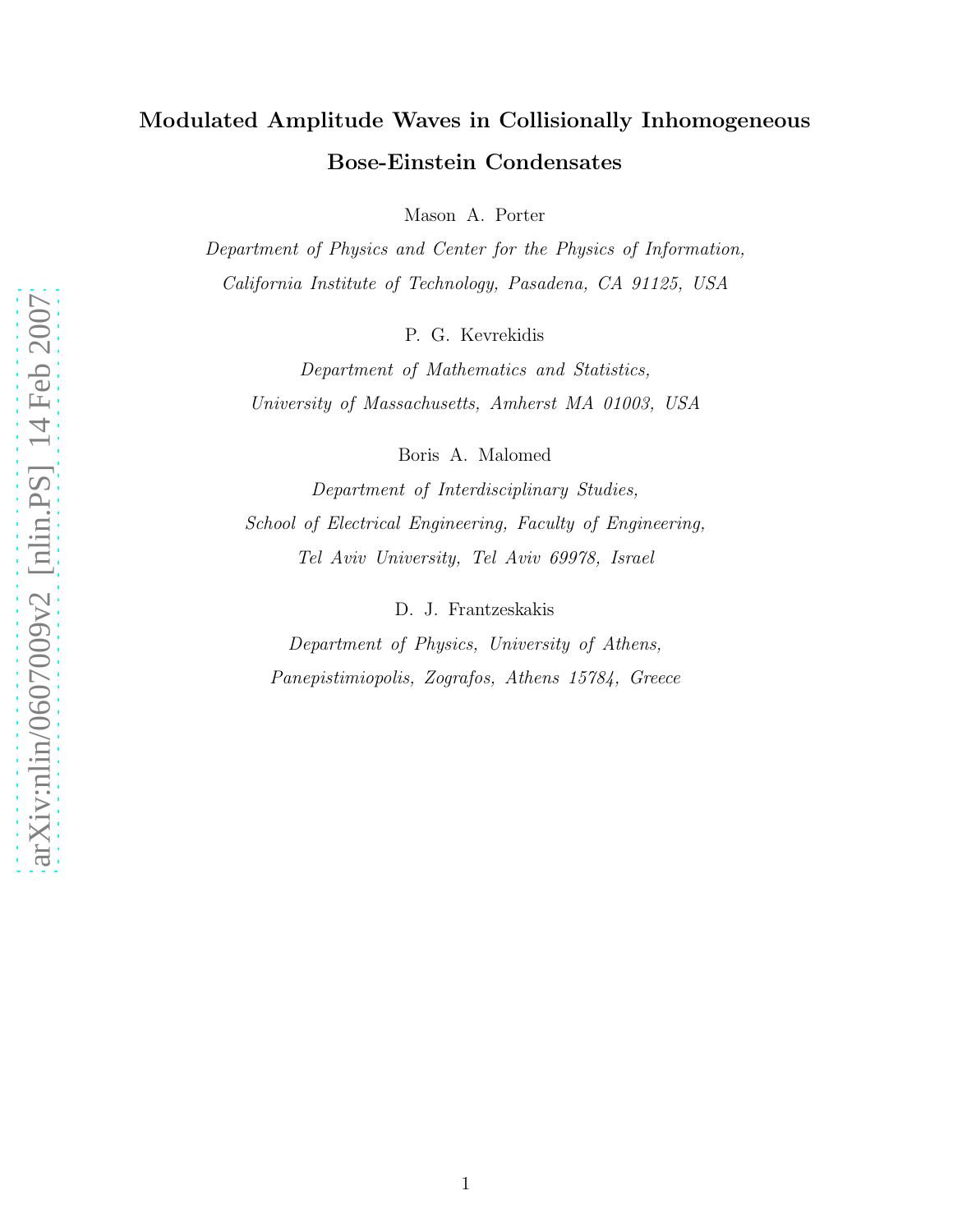# Modulated Amplitude Waves in Collisionally Inhomogeneous Bose-Einstein Condensates

Mason A. Porter

Department of Physics and Center for the Physics of Information, California Institute of Technology, Pasadena, CA 91125, USA

P. G. Kevrekidis

Department of Mathematics and Statistics, University of Massachusetts, Amherst MA 01003, USA

Boris A. Malomed

Department of Interdisciplinary Studies, School of Electrical Engineering, Faculty of Engineering, Tel Aviv University, Tel Aviv 69978, Israel

D. J. Frantzeskakis

Department of Physics, University of Athens, Panepistimiopolis, Zografos, Athens 15784, Greece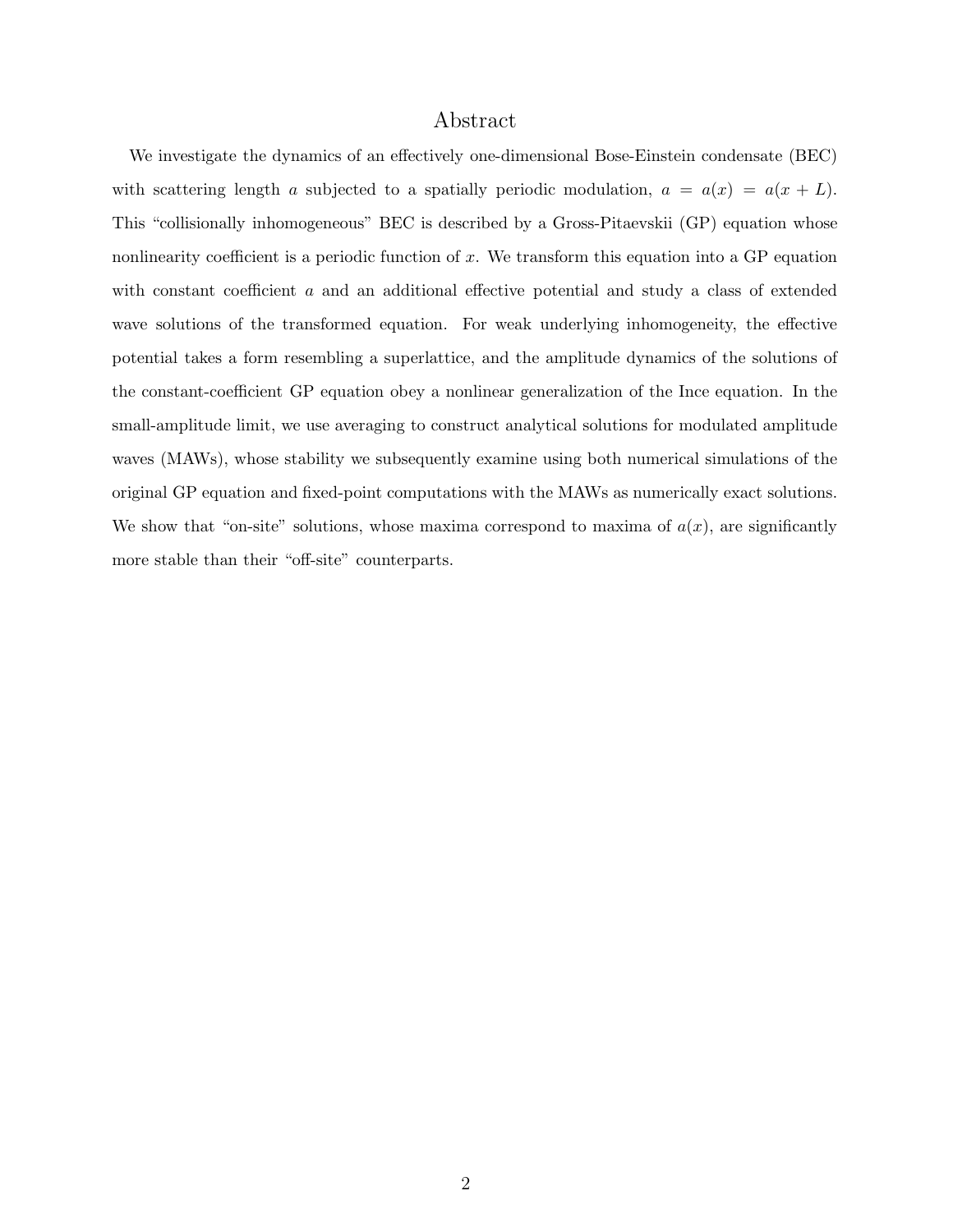# Abstract

We investigate the dynamics of an effectively one-dimensional Bose-Einstein condensate (BEC) with scattering length a subjected to a spatially periodic modulation,  $a = a(x) = a(x + L)$ . This "collisionally inhomogeneous" BEC is described by a Gross-Pitaevskii (GP) equation whose nonlinearity coefficient is a periodic function of  $x$ . We transform this equation into a GP equation with constant coefficient a and an additional effective potential and study a class of extended wave solutions of the transformed equation. For weak underlying inhomogeneity, the effective potential takes a form resembling a superlattice, and the amplitude dynamics of the solutions of the constant-coefficient GP equation obey a nonlinear generalization of the Ince equation. In the small-amplitude limit, we use averaging to construct analytical solutions for modulated amplitude waves (MAWs), whose stability we subsequently examine using both numerical simulations of the original GP equation and fixed-point computations with the MAWs as numerically exact solutions. We show that "on-site" solutions, whose maxima correspond to maxima of  $a(x)$ , are significantly more stable than their "off-site" counterparts.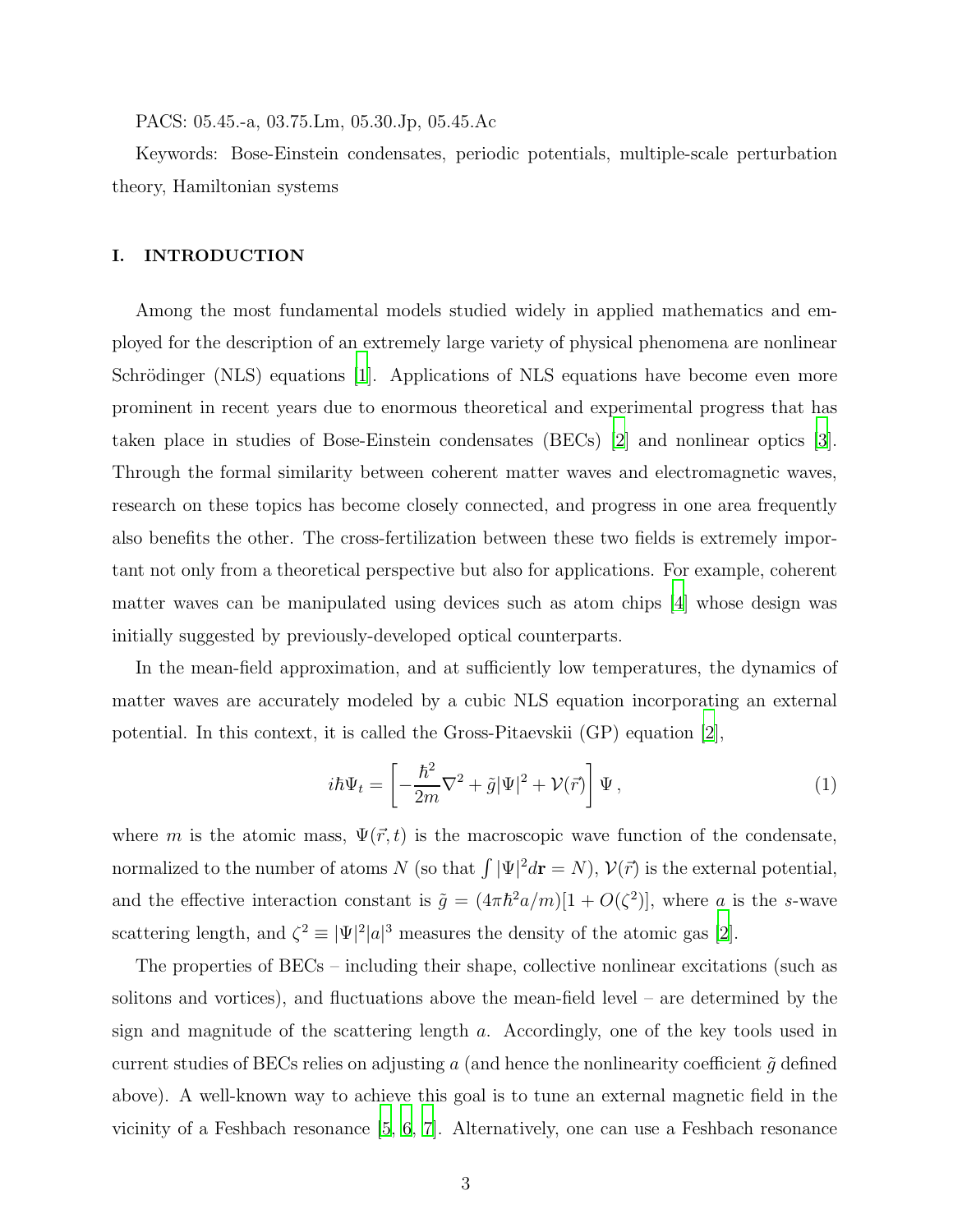PACS: 05.45.-a, 03.75.Lm, 05.30.Jp, 05.45.Ac

Keywords: Bose-Einstein condensates, periodic potentials, multiple-scale perturbation theory, Hamiltonian systems

## I. INTRODUCTION

Among the most fundamental models studied widely in applied mathematics and employed for the description of an extremely large variety of physical phenomena are nonlinear Schrödinger (NLS) equations [\[1](#page-22-0)]. Applications of NLS equations have become even more prominent in recent years due to enormous theoretical and experimental progress that has taken place in studies of Bose-Einstein condensates (BECs) [\[2\]](#page-22-1) and nonlinear optics [\[3\]](#page-22-2). Through the formal similarity between coherent matter waves and electromagnetic waves, research on these topics has become closely connected, and progress in one area frequently also benefits the other. The cross-fertilization between these two fields is extremely important not only from a theoretical perspective but also for applications. For example, coherent matter waves can be manipulated using devices such as atom chips [\[4](#page-22-3)] whose design was initially suggested by previously-developed optical counterparts.

In the mean-field approximation, and at sufficiently low temperatures, the dynamics of matter waves are accurately modeled by a cubic NLS equation incorporating an external potential. In this context, it is called the Gross-Pitaevskii (GP) equation [\[2](#page-22-1)],

<span id="page-2-0"></span>
$$
i\hbar\Psi_t = \left[ -\frac{\hbar^2}{2m}\nabla^2 + \tilde{g}|\Psi|^2 + \mathcal{V}(\vec{r}) \right] \Psi , \qquad (1)
$$

where m is the atomic mass,  $\Psi(\vec{r},t)$  is the macroscopic wave function of the condensate, normalized to the number of atoms N (so that  $\int |\Psi|^2 d\mathbf{r} = N$ ),  $\mathcal{V}(\vec{r})$  is the external potential, and the effective interaction constant is  $\tilde{g} = (4\pi \hbar^2 a/m)[1 + O(\zeta^2)]$ , where a is the s-wave scattering length, and  $\zeta^2 \equiv |\Psi|^2 |a|^3$  measures the density of the atomic gas [\[2](#page-22-1)].

The properties of BECs – including their shape, collective nonlinear excitations (such as solitons and vortices), and fluctuations above the mean-field level – are determined by the sign and magnitude of the scattering length a. Accordingly, one of the key tools used in current studies of BECs relies on adjusting a (and hence the nonlinearity coefficient  $\tilde{g}$  defined above). A well-known way to achieve this goal is to tune an external magnetic field in the vicinity of a Feshbach resonance [\[5](#page-22-4), [6,](#page-22-5) [7](#page-22-6)]. Alternatively, one can use a Feshbach resonance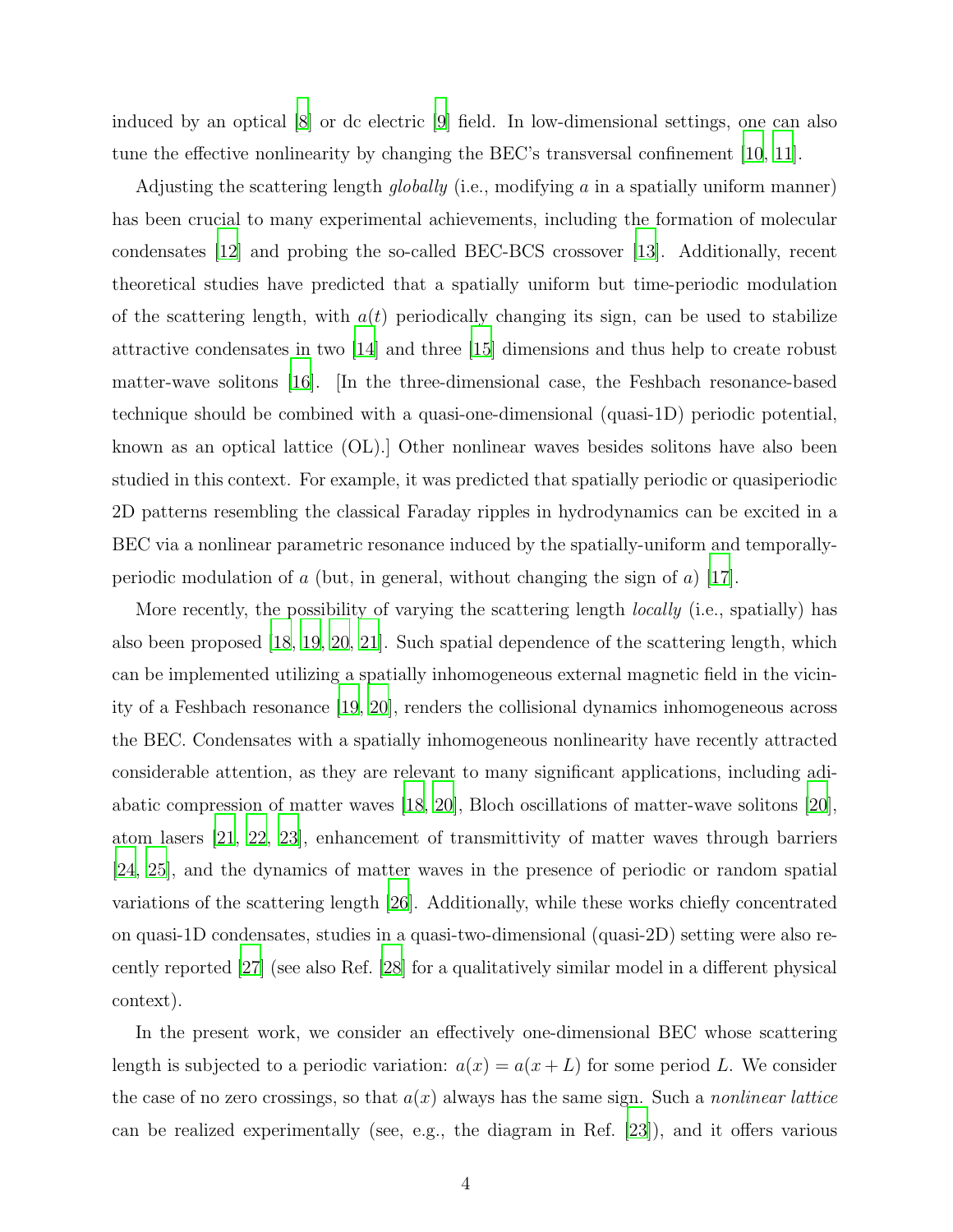induced by an optical [\[8\]](#page-22-7) or dc electric [\[9\]](#page-22-8) field. In low-dimensional settings, one can also tune the effective nonlinearity by changing the BEC's transversal confinement [\[10,](#page-22-9) [11\]](#page-22-10).

Adjusting the scattering length *globally* (i.e., modifying  $a$  in a spatially uniform manner) has been crucial to many experimental achievements, including the formation of molecular condensates [\[12\]](#page-22-11) and probing the so-called BEC-BCS crossover [\[13](#page-22-12)]. Additionally, recent theoretical studies have predicted that a spatially uniform but time-periodic modulation of the scattering length, with  $a(t)$  periodically changing its sign, can be used to stabilize attractive condensates in two [\[14\]](#page-22-13) and three [\[15\]](#page-23-0) dimensions and thus help to create robust matter-wave solitons [\[16](#page-23-1)]. [In the three-dimensional case, the Feshbach resonance-based technique should be combined with a quasi-one-dimensional (quasi-1D) periodic potential, known as an optical lattice (OL).] Other nonlinear waves besides solitons have also been studied in this context. For example, it was predicted that spatially periodic or quasiperiodic 2D patterns resembling the classical Faraday ripples in hydrodynamics can be excited in a BEC via a nonlinear parametric resonance induced by the spatially-uniform and temporally-periodic modulation of a (but, in general, without changing the sign of a) [\[17\]](#page-23-2).

More recently, the possibility of varying the scattering length *locally* (i.e., spatially) has also been proposed [\[18](#page-23-3), [19,](#page-23-4) [20,](#page-23-5) [21](#page-23-6)]. Such spatial dependence of the scattering length, which can be implemented utilizing a spatially inhomogeneous external magnetic field in the vicinity of a Feshbach resonance [\[19,](#page-23-4) [20](#page-23-5)], renders the collisional dynamics inhomogeneous across the BEC. Condensates with a spatially inhomogeneous nonlinearity have recently attracted considerable attention, as they are relevant to many significant applications, including adiabatic compression of matter waves [\[18](#page-23-3), [20](#page-23-5)], Bloch oscillations of matter-wave solitons [\[20\]](#page-23-5), atom lasers [\[21](#page-23-6), [22](#page-23-7), [23\]](#page-23-8), enhancement of transmittivity of matter waves through barriers [\[24](#page-23-9), [25\]](#page-23-10), and the dynamics of matter waves in the presence of periodic or random spatial variations of the scattering length [\[26\]](#page-23-11). Additionally, while these works chiefly concentrated on quasi-1D condensates, studies in a quasi-two-dimensional (quasi-2D) setting were also recently reported [\[27](#page-23-12)] (see also Ref. [\[28](#page-23-13)] for a qualitatively similar model in a different physical context).

In the present work, we consider an effectively one-dimensional BEC whose scattering length is subjected to a periodic variation:  $a(x) = a(x + L)$  for some period L. We consider the case of no zero crossings, so that  $a(x)$  always has the same sign. Such a *nonlinear lattice* can be realized experimentally (see, e.g., the diagram in Ref. [\[23](#page-23-8)]), and it offers various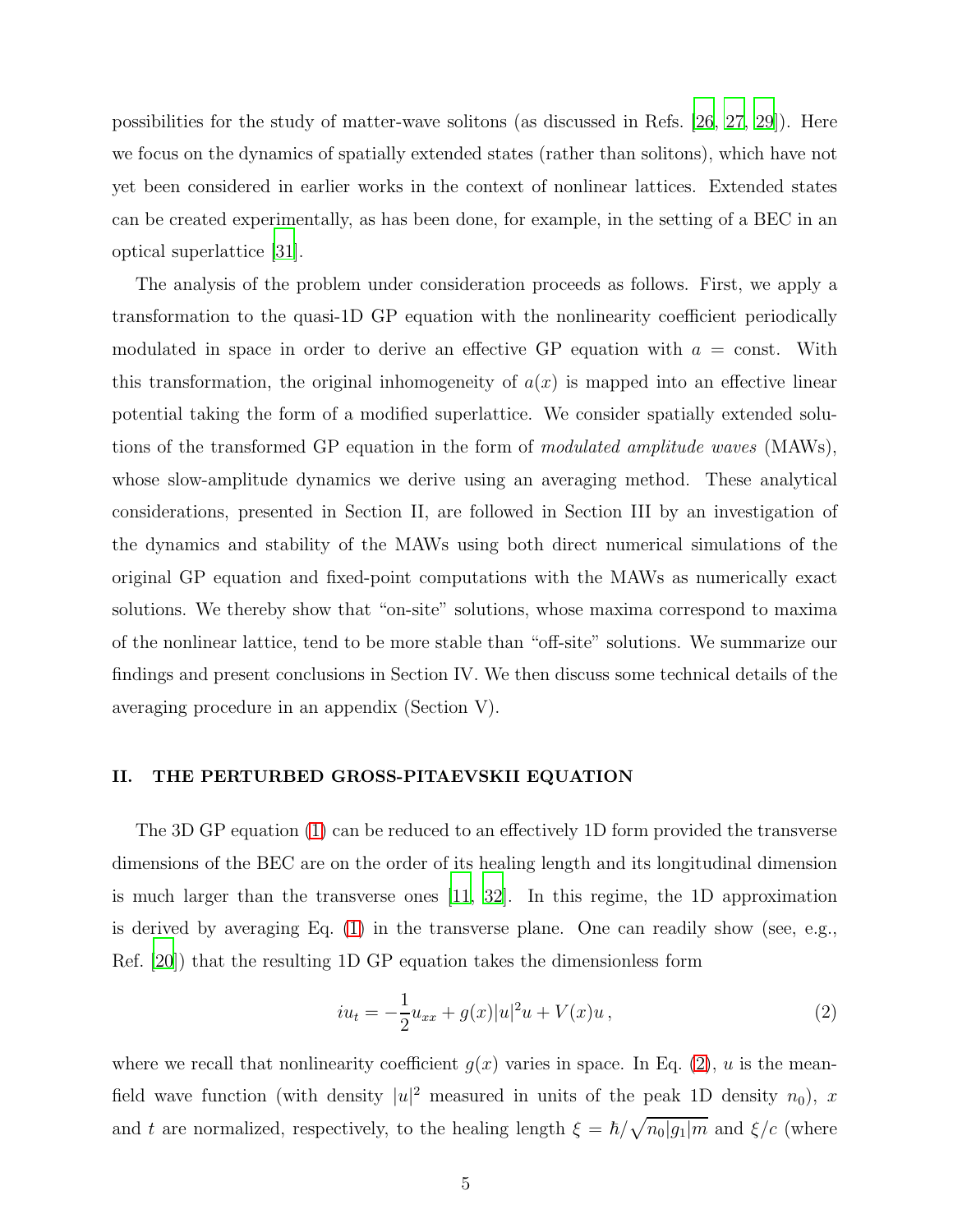possibilities for the study of matter-wave solitons (as discussed in Refs. [\[26,](#page-23-11) [27](#page-23-12), [29](#page-23-14)]). Here we focus on the dynamics of spatially extended states (rather than solitons), which have not yet been considered in earlier works in the context of nonlinear lattices. Extended states can be created experimentally, as has been done, for example, in the setting of a BEC in an optical superlattice [\[31\]](#page-24-0).

The analysis of the problem under consideration proceeds as follows. First, we apply a transformation to the quasi-1D GP equation with the nonlinearity coefficient periodically modulated in space in order to derive an effective GP equation with  $a = \text{const.}$  With this transformation, the original inhomogeneity of  $a(x)$  is mapped into an effective linear potential taking the form of a modified superlattice. We consider spatially extended solutions of the transformed GP equation in the form of modulated amplitude waves (MAWs), whose slow-amplitude dynamics we derive using an averaging method. These analytical considerations, presented in Section II, are followed in Section III by an investigation of the dynamics and stability of the MAWs using both direct numerical simulations of the original GP equation and fixed-point computations with the MAWs as numerically exact solutions. We thereby show that "on-site" solutions, whose maxima correspond to maxima of the nonlinear lattice, tend to be more stable than "off-site" solutions. We summarize our findings and present conclusions in Section IV. We then discuss some technical details of the averaging procedure in an appendix (Section V).

## II. THE PERTURBED GROSS-PITAEVSKII EQUATION

The 3D GP equation [\(1\)](#page-2-0) can be reduced to an effectively 1D form provided the transverse dimensions of the BEC are on the order of its healing length and its longitudinal dimension is much larger than the transverse ones [\[11](#page-22-10), [32](#page-24-1)]. In this regime, the 1D approximation is derived by averaging Eq. [\(1\)](#page-2-0) in the transverse plane. One can readily show (see, e.g., Ref. [\[20\]](#page-23-5)) that the resulting 1D GP equation takes the dimensionless form

<span id="page-4-0"></span>
$$
iu_t = -\frac{1}{2}u_{xx} + g(x)|u|^2u + V(x)u , \qquad (2)
$$

where we recall that nonlinearity coefficient  $g(x)$  varies in space. In Eq. [\(2\)](#page-4-0), u is the meanfield wave function (with density  $|u|^2$  measured in units of the peak 1D density  $n_0$ ), x and t are normalized, respectively, to the healing length  $\xi = \hbar / \sqrt{n_0|g_1|m}$  and  $\xi/c$  (where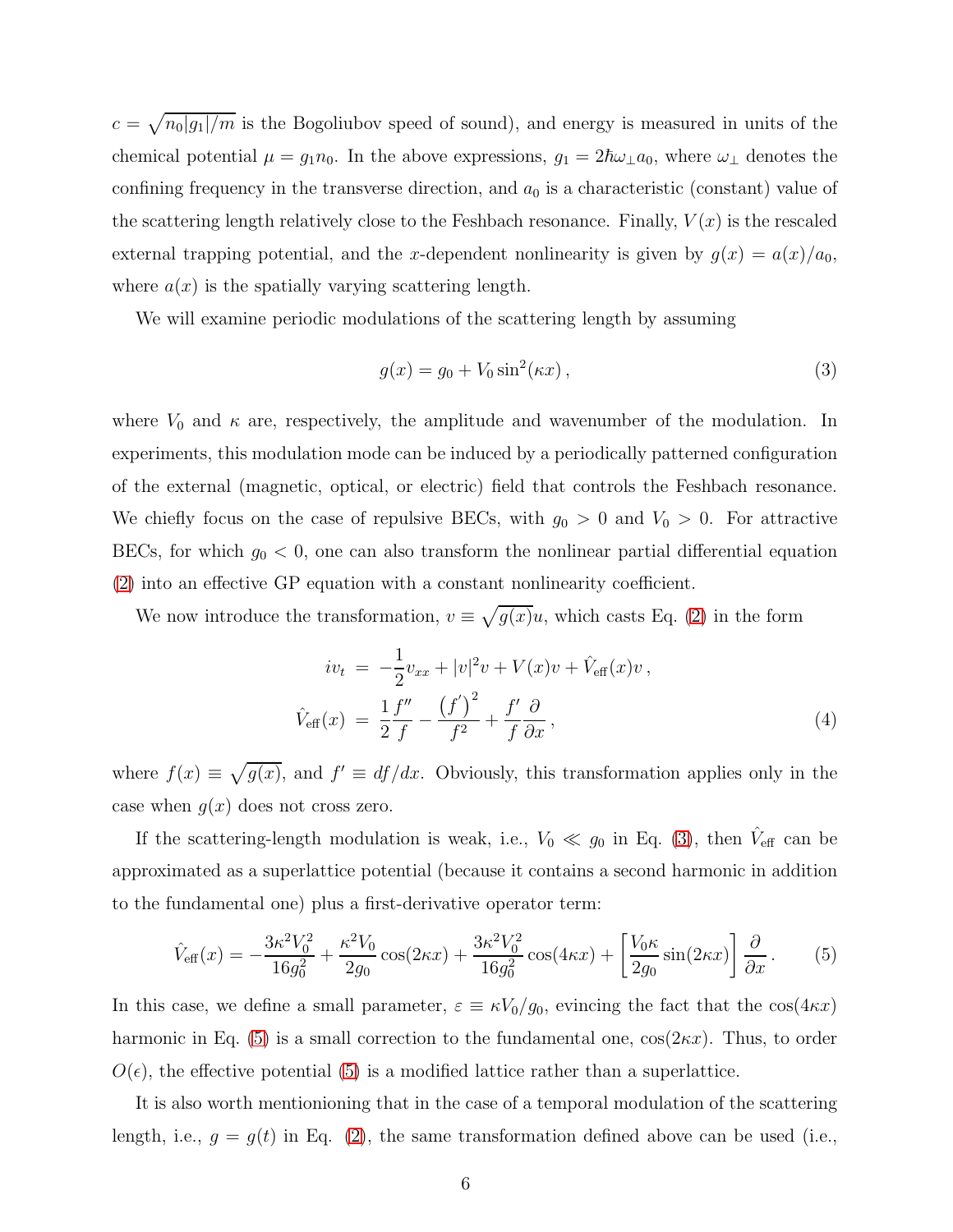$c = \sqrt{n_0|g_1|/m}$  is the Bogoliubov speed of sound), and energy is measured in units of the chemical potential  $\mu = g_1 n_0$ . In the above expressions,  $g_1 = 2\hbar\omega_\perp a_0$ , where  $\omega_\perp$  denotes the confining frequency in the transverse direction, and  $a_0$  is a characteristic (constant) value of the scattering length relatively close to the Feshbach resonance. Finally,  $V(x)$  is the rescaled external trapping potential, and the x-dependent nonlinearity is given by  $g(x) = a(x)/a_0$ , where  $a(x)$  is the spatially varying scattering length.

We will examine periodic modulations of the scattering length by assuming

<span id="page-5-0"></span>
$$
g(x) = g_0 + V_0 \sin^2(\kappa x), \qquad (3)
$$

where  $V_0$  and  $\kappa$  are, respectively, the amplitude and wavenumber of the modulation. In experiments, this modulation mode can be induced by a periodically patterned configuration of the external (magnetic, optical, or electric) field that controls the Feshbach resonance. We chiefly focus on the case of repulsive BECs, with  $g_0 > 0$  and  $V_0 > 0$ . For attractive BECs, for which  $g_0 < 0$ , one can also transform the nonlinear partial differential equation [\(2\)](#page-4-0) into an effective GP equation with a constant nonlinearity coefficient.

We now introduce the transformation,  $v \equiv \sqrt{g(x)}u$ , which casts Eq. [\(2\)](#page-4-0) in the form

<span id="page-5-2"></span>
$$
iv_{t} = -\frac{1}{2}v_{xx} + |v|^{2}v + V(x)v + \hat{V}_{\text{eff}}(x)v,
$$
  

$$
\hat{V}_{\text{eff}}(x) = \frac{1}{2}\frac{f''}{f} - \frac{(f')^{2}}{f^{2}} + \frac{f'}{f}\frac{\partial}{\partial x},
$$
\n(4)

where  $f(x) \equiv \sqrt{g(x)}$ , and  $f' \equiv df/dx$ . Obviously, this transformation applies only in the case when  $g(x)$  does not cross zero.

If the scattering-length modulation is weak, i.e.,  $V_0 \ll g_0$  in Eq. [\(3\)](#page-5-0), then  $\hat{V}_{\text{eff}}$  can be approximated as a superlattice potential (because it contains a second harmonic in addition to the fundamental one) plus a first-derivative operator term:

<span id="page-5-1"></span>
$$
\hat{V}_{\text{eff}}(x) = -\frac{3\kappa^2 V_0^2}{16g_0^2} + \frac{\kappa^2 V_0}{2g_0} \cos(2\kappa x) + \frac{3\kappa^2 V_0^2}{16g_0^2} \cos(4\kappa x) + \left[\frac{V_0 \kappa}{2g_0} \sin(2\kappa x)\right] \frac{\partial}{\partial x}.
$$
 (5)

In this case, we define a small parameter,  $\varepsilon \equiv \kappa V_0/g_0$ , evincing the fact that the  $\cos(4\kappa x)$ harmonic in Eq. [\(5\)](#page-5-1) is a small correction to the fundamental one,  $cos(2kx)$ . Thus, to order  $O(\epsilon)$ , the effective potential [\(5\)](#page-5-1) is a modified lattice rather than a superlattice.

It is also worth mentionioning that in the case of a temporal modulation of the scattering length, i.e.,  $g = g(t)$  in Eq. [\(2\)](#page-4-0), the same transformation defined above can be used (i.e.,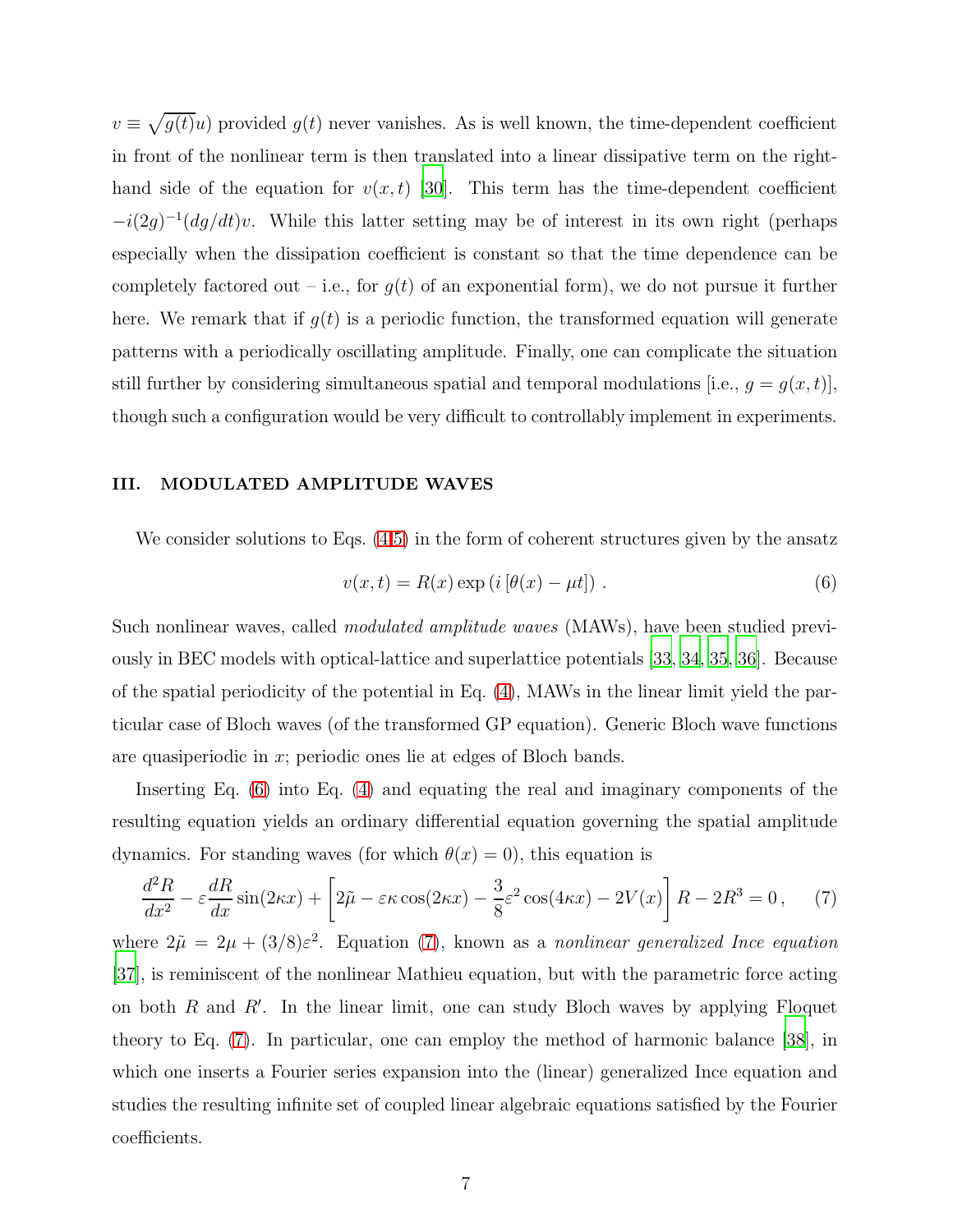$v \equiv \sqrt{g(t)}u$ ) provided  $g(t)$  never vanishes. As is well known, the time-dependent coefficient in front of the nonlinear term is then translated into a linear dissipative term on the righthand side of the equation for  $v(x, t)$  [\[30\]](#page-23-15). This term has the time-dependent coefficient  $-i(2g)^{-1}(dg/dt)v$ . While this latter setting may be of interest in its own right (perhaps especially when the dissipation coefficient is constant so that the time dependence can be completely factored out – i.e., for  $g(t)$  of an exponential form), we do not pursue it further here. We remark that if  $g(t)$  is a periodic function, the transformed equation will generate patterns with a periodically oscillating amplitude. Finally, one can complicate the situation still further by considering simultaneous spatial and temporal modulations [i.e.,  $g = g(x, t)$ ], though such a configuration would be very difficult to controllably implement in experiments.

#### III. MODULATED AMPLITUDE WAVES

We consider solutions to Eqs.  $(4,5)$  $(4,5)$  in the form of coherent structures given by the ansatz

<span id="page-6-0"></span>
$$
v(x,t) = R(x) \exp\left(i\left[\theta(x) - \mu t\right]\right). \tag{6}
$$

Such nonlinear waves, called *modulated amplitude waves* (MAWs), have been studied previously in BEC models with optical-lattice and superlattice potentials [\[33,](#page-24-2) [34,](#page-24-3) [35,](#page-24-4) [36\]](#page-24-5). Because of the spatial periodicity of the potential in Eq. [\(4\)](#page-5-2), MAWs in the linear limit yield the particular case of Bloch waves (of the transformed GP equation). Generic Bloch wave functions are quasiperiodic in x; periodic ones lie at edges of Bloch bands.

Inserting Eq. [\(6\)](#page-6-0) into Eq. [\(4\)](#page-5-2) and equating the real and imaginary components of the resulting equation yields an ordinary differential equation governing the spatial amplitude dynamics. For standing waves (for which  $\theta(x) = 0$ ), this equation is

<span id="page-6-1"></span>
$$
\frac{d^2R}{dx^2} - \varepsilon \frac{dR}{dx}\sin(2\kappa x) + \left[2\tilde{\mu} - \varepsilon \kappa \cos(2\kappa x) - \frac{3}{8}\varepsilon^2 \cos(4\kappa x) - 2V(x)\right]R - 2R^3 = 0\,,\tag{7}
$$

where  $2\tilde{\mu} = 2\mu + (3/8)\varepsilon^2$ . Equation [\(7\)](#page-6-1), known as a nonlinear generalized Ince equation [\[37\]](#page-24-6), is reminiscent of the nonlinear Mathieu equation, but with the parametric force acting on both  $R$  and  $R'$ . In the linear limit, one can study Bloch waves by applying Floquet theory to Eq. [\(7\)](#page-6-1). In particular, one can employ the method of harmonic balance [\[38](#page-24-7)], in which one inserts a Fourier series expansion into the (linear) generalized Ince equation and studies the resulting infinite set of coupled linear algebraic equations satisfied by the Fourier coefficients.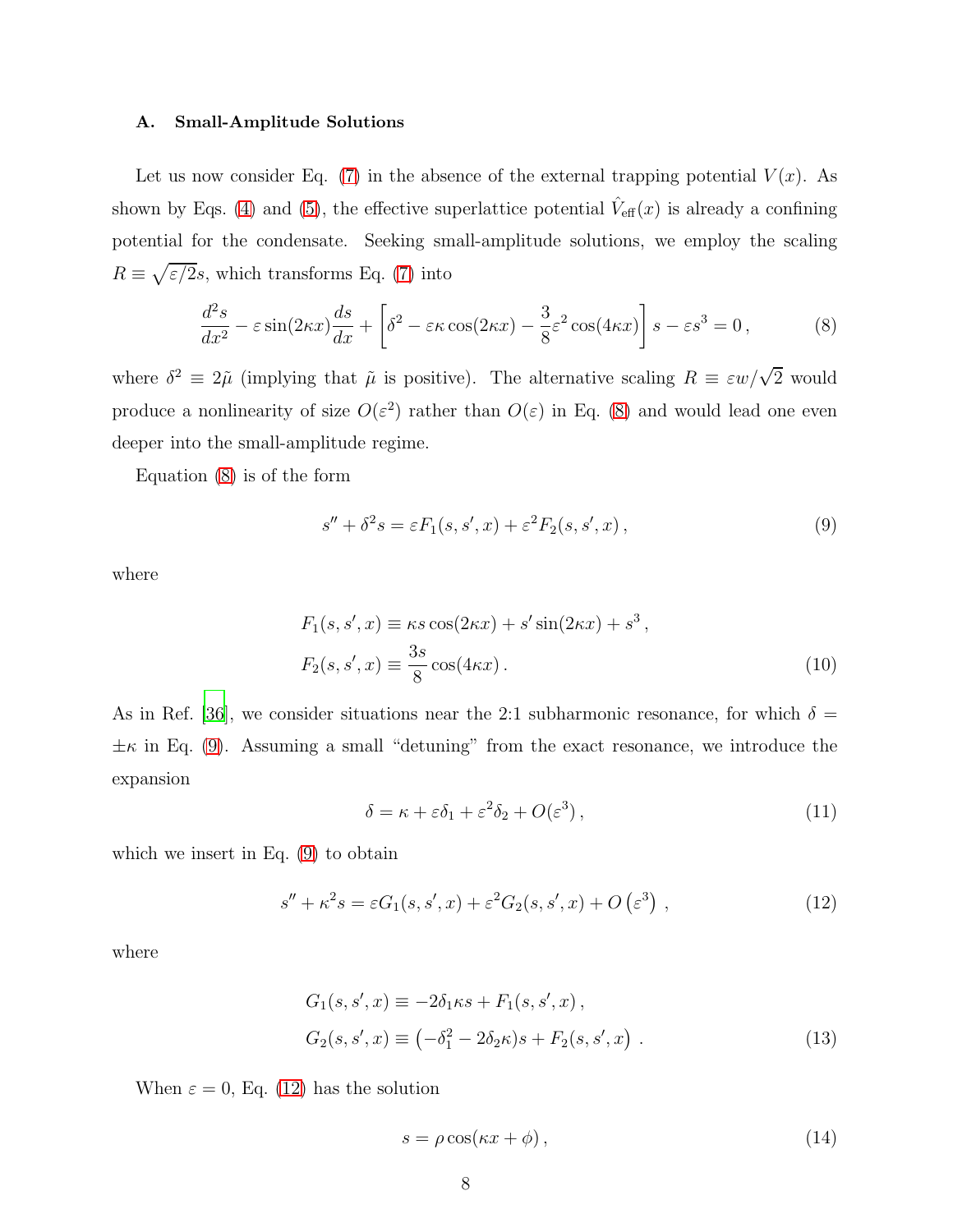#### A. Small-Amplitude Solutions

Let us now consider Eq. [\(7\)](#page-6-1) in the absence of the external trapping potential  $V(x)$ . As shown by Eqs. [\(4\)](#page-5-2) and [\(5\)](#page-5-1), the effective superlattice potential  $\hat{V}_{\text{eff}}(x)$  is already a confining potential for the condensate. Seeking small-amplitude solutions, we employ the scaling  $R \equiv \sqrt{\varepsilon/2}$ s, which transforms Eq. [\(7\)](#page-6-1) into

<span id="page-7-0"></span>
$$
\frac{d^2s}{dx^2} - \varepsilon \sin(2\kappa x) \frac{ds}{dx} + \left[ \delta^2 - \varepsilon \kappa \cos(2\kappa x) - \frac{3}{8} \varepsilon^2 \cos(4\kappa x) \right] s - \varepsilon s^3 = 0,
$$
 (8)

where  $\delta^2 \equiv 2\tilde{\mu}$  (implying that  $\tilde{\mu}$  is positive). The alternative scaling  $R \equiv \varepsilon w/\sqrt{2}$  would produce a nonlinearity of size  $O(\varepsilon^2)$  rather than  $O(\varepsilon)$  in Eq. [\(8\)](#page-7-0) and would lead one even deeper into the small-amplitude regime.

Equation [\(8\)](#page-7-0) is of the form

<span id="page-7-1"></span>
$$
s'' + \delta^2 s = \varepsilon F_1(s, s', x) + \varepsilon^2 F_2(s, s', x) , \qquad (9)
$$

where

$$
F_1(s, s', x) \equiv \kappa s \cos(2\kappa x) + s' \sin(2\kappa x) + s^3,
$$
  
\n
$$
F_2(s, s', x) \equiv \frac{3s}{8} \cos(4\kappa x).
$$
\n(10)

As in Ref. [\[36](#page-24-5)], we consider situations near the 2:1 subharmonic resonance, for which  $\delta =$  $\pm \kappa$  in Eq. [\(9\)](#page-7-1). Assuming a small "detuning" from the exact resonance, we introduce the expansion

<span id="page-7-4"></span>
$$
\delta = \kappa + \varepsilon \delta_1 + \varepsilon^2 \delta_2 + O(\varepsilon^3),\tag{11}
$$

which we insert in Eq. [\(9\)](#page-7-1) to obtain

<span id="page-7-2"></span>
$$
s'' + \kappa^2 s = \varepsilon G_1(s, s', x) + \varepsilon^2 G_2(s, s', x) + O\left(\varepsilon^3\right) ,\tag{12}
$$

where

$$
G_1(s, s', x) \equiv -2\delta_1 \kappa s + F_1(s, s', x),
$$
  
\n
$$
G_2(s, s', x) \equiv (-\delta_1^2 - 2\delta_2 \kappa)s + F_2(s, s', x).
$$
\n(13)

When  $\varepsilon = 0$ , Eq. [\(12\)](#page-7-2) has the solution

<span id="page-7-3"></span>
$$
s = \rho \cos(\kappa x + \phi), \tag{14}
$$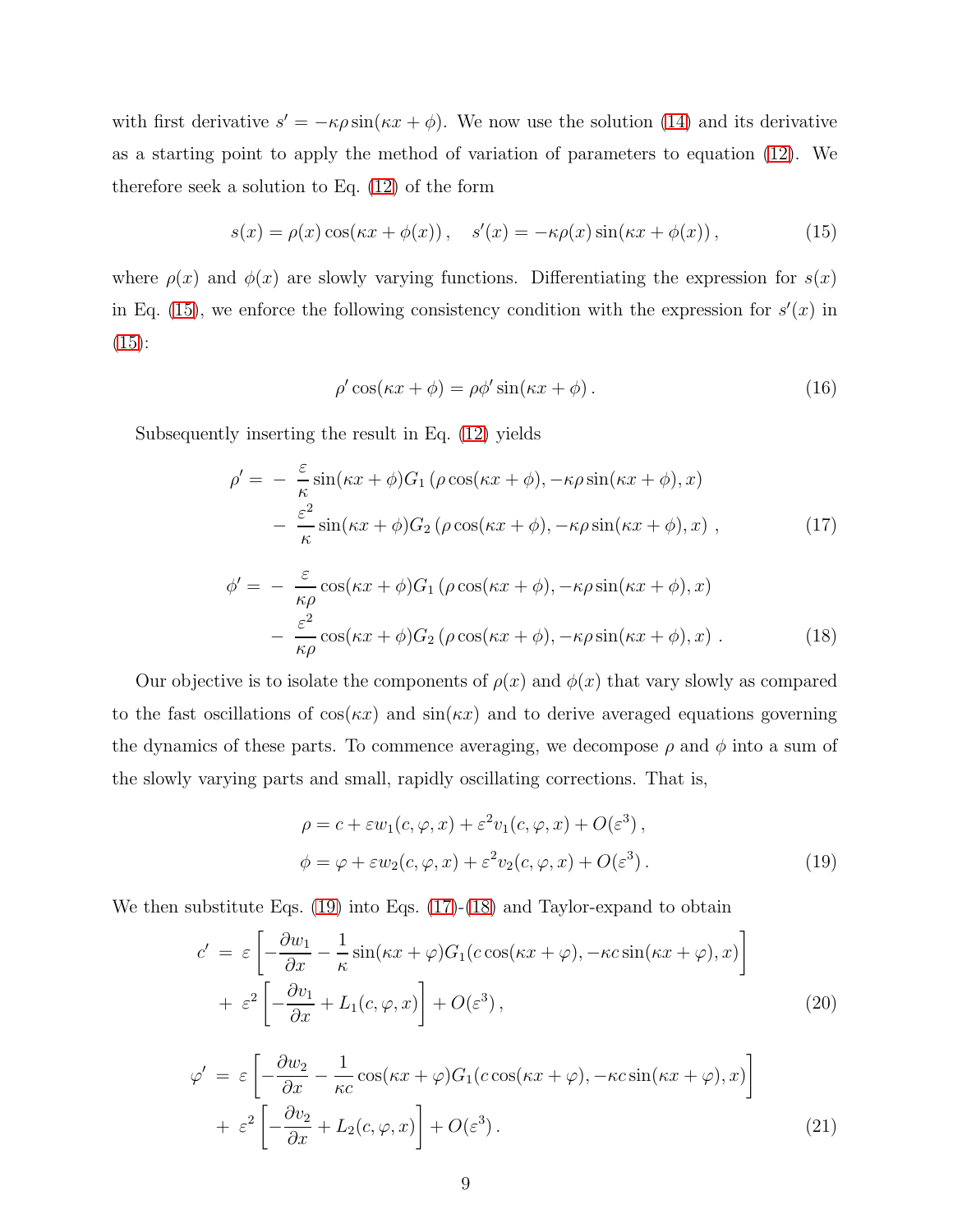with first derivative  $s' = -\kappa \rho \sin(\kappa x + \phi)$ . We now use the solution [\(14\)](#page-7-3) and its derivative as a starting point to apply the method of variation of parameters to equation [\(12\)](#page-7-2). We therefore seek a solution to Eq. [\(12\)](#page-7-2) of the form

<span id="page-8-0"></span>
$$
s(x) = \rho(x)\cos(\kappa x + \phi(x)), \quad s'(x) = -\kappa\rho(x)\sin(\kappa x + \phi(x)), \tag{15}
$$

where  $\rho(x)$  and  $\phi(x)$  are slowly varying functions. Differentiating the expression for  $s(x)$ in Eq. [\(15\)](#page-8-0), we enforce the following consistency condition with the expression for  $s'(x)$  in  $(15):$  $(15):$ 

$$
\rho' \cos(\kappa x + \phi) = \rho \phi' \sin(\kappa x + \phi). \tag{16}
$$

Subsequently inserting the result in Eq. [\(12\)](#page-7-2) yields

<span id="page-8-2"></span>
$$
\rho' = -\frac{\varepsilon}{\kappa} \sin(\kappa x + \phi) G_1 \left( \rho \cos(\kappa x + \phi), -\kappa \rho \sin(\kappa x + \phi), x \right) \n- \frac{\varepsilon^2}{\kappa} \sin(\kappa x + \phi) G_2 \left( \rho \cos(\kappa x + \phi), -\kappa \rho \sin(\kappa x + \phi), x \right),
$$
\n(17)

<span id="page-8-3"></span>
$$
\phi' = -\frac{\varepsilon}{\kappa \rho} \cos(\kappa x + \phi) G_1 \left( \rho \cos(\kappa x + \phi), -\kappa \rho \sin(\kappa x + \phi), x \right)
$$

$$
-\frac{\varepsilon^2}{\kappa \rho} \cos(\kappa x + \phi) G_2 \left( \rho \cos(\kappa x + \phi), -\kappa \rho \sin(\kappa x + \phi), x \right). \tag{18}
$$

Our objective is to isolate the components of  $\rho(x)$  and  $\phi(x)$  that vary slowly as compared to the fast oscillations of  $cos(\kappa x)$  and  $sin(\kappa x)$  and to derive averaged equations governing the dynamics of these parts. To commence averaging, we decompose  $\rho$  and  $\phi$  into a sum of the slowly varying parts and small, rapidly oscillating corrections. That is,

<span id="page-8-1"></span>
$$
\rho = c + \varepsilon w_1(c, \varphi, x) + \varepsilon^2 v_1(c, \varphi, x) + O(\varepsilon^3),
$$
  

$$
\phi = \varphi + \varepsilon w_2(c, \varphi, x) + \varepsilon^2 v_2(c, \varphi, x) + O(\varepsilon^3).
$$
 (19)

We then substitute Eqs.  $(19)$  into Eqs.  $(17)-(18)$  $(17)-(18)$  and Taylor-expand to obtain

<span id="page-8-5"></span>
$$
c' = \varepsilon \left[ -\frac{\partial w_1}{\partial x} - \frac{1}{\kappa} \sin(\kappa x + \varphi) G_1(c \cos(\kappa x + \varphi), -\kappa c \sin(\kappa x + \varphi), x) \right] + \varepsilon^2 \left[ -\frac{\partial v_1}{\partial x} + L_1(c, \varphi, x) \right] + O(\varepsilon^3),
$$
(20)

<span id="page-8-4"></span>
$$
\varphi' = \varepsilon \left[ -\frac{\partial w_2}{\partial x} - \frac{1}{\kappa c} \cos(\kappa x + \varphi) G_1(c \cos(\kappa x + \varphi), -\kappa c \sin(\kappa x + \varphi), x) \right] + \varepsilon^2 \left[ -\frac{\partial v_2}{\partial x} + L_2(c, \varphi, x) \right] + O(\varepsilon^3).
$$
 (21)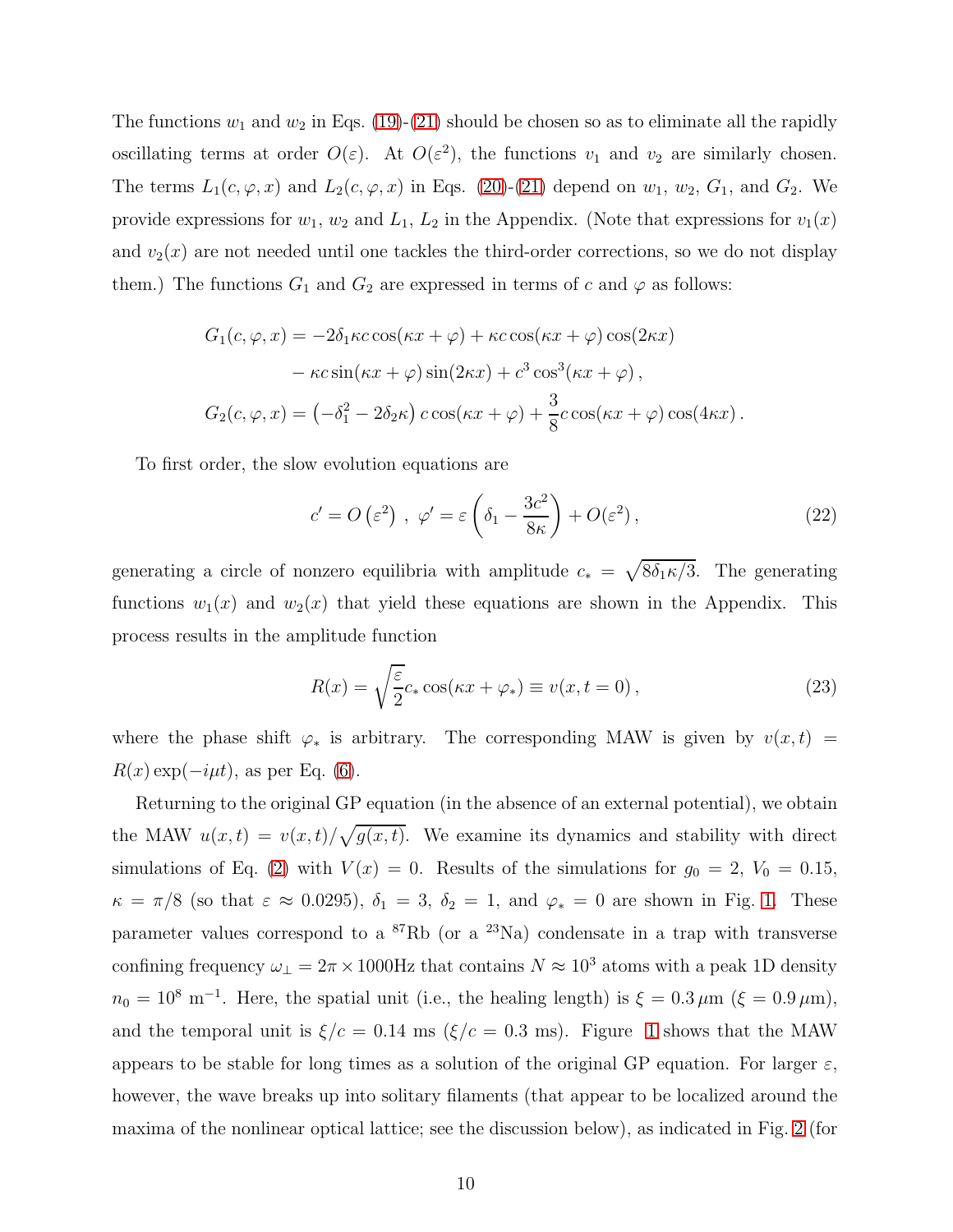The functions  $w_1$  and  $w_2$  in Eqs. [\(19\)](#page-8-1)-[\(21\)](#page-8-4) should be chosen so as to eliminate all the rapidly oscillating terms at order  $O(\varepsilon)$ . At  $O(\varepsilon^2)$ , the functions  $v_1$  and  $v_2$  are similarly chosen. The terms  $L_1(c, \varphi, x)$  and  $L_2(c, \varphi, x)$  in Eqs. [\(20\)](#page-8-5)-[\(21\)](#page-8-4) depend on  $w_1, w_2, G_1$ , and  $G_2$ . We provide expressions for  $w_1$ ,  $w_2$  and  $L_1$ ,  $L_2$  in the Appendix. (Note that expressions for  $v_1(x)$ and  $v_2(x)$  are not needed until one tackles the third-order corrections, so we do not display them.) The functions  $G_1$  and  $G_2$  are expressed in terms of c and  $\varphi$  as follows:

$$
G_1(c, \varphi, x) = -2\delta_1 \kappa c \cos(\kappa x + \varphi) + \kappa c \cos(\kappa x + \varphi) \cos(2\kappa x)
$$

$$
-\kappa c \sin(\kappa x + \varphi) \sin(2\kappa x) + c^3 \cos^3(\kappa x + \varphi),
$$

$$
G_2(c, \varphi, x) = (-\delta_1^2 - 2\delta_2 \kappa) c \cos(\kappa x + \varphi) + \frac{3}{8} c \cos(\kappa x + \varphi) \cos(4\kappa x).
$$

To first order, the slow evolution equations are

<span id="page-9-1"></span>
$$
c' = O\left(\varepsilon^2\right) , \; \varphi' = \varepsilon \left(\delta_1 - \frac{3c^2}{8\kappa}\right) + O(\varepsilon^2) \,, \tag{22}
$$

generating a circle of nonzero equilibria with amplitude  $c_* = \sqrt{8\delta_1\kappa/3}$ . The generating functions  $w_1(x)$  and  $w_2(x)$  that yield these equations are shown in the Appendix. This process results in the amplitude function

<span id="page-9-0"></span>
$$
R(x) = \sqrt{\frac{\varepsilon}{2}} c_* \cos(\kappa x + \varphi_*) \equiv v(x, t = 0), \qquad (23)
$$

where the phase shift  $\varphi_*$  is arbitrary. The corresponding MAW is given by  $v(x,t)$  =  $R(x) \exp(-i\mu t)$ , as per Eq. [\(6\)](#page-6-0).

Returning to the original GP equation (in the absence of an external potential), we obtain the MAW  $u(x,t) = v(x,t)/\sqrt{g(x,t)}$ . We examine its dynamics and stability with direct simulations of Eq. [\(2\)](#page-4-0) with  $V(x) = 0$ . Results of the simulations for  $g_0 = 2$ ,  $V_0 = 0.15$ ,  $\kappa = \pi/8$  (so that  $\varepsilon \approx 0.0295$ ),  $\delta_1 = 3$ ,  $\delta_2 = 1$ , and  $\varphi_* = 0$  are shown in Fig. [1.](#page-10-0) These parameter values correspond to a  ${}^{87}$ Rb (or a  ${}^{23}$ Na) condensate in a trap with transverse confining frequency  $\omega_{\perp} = 2\pi \times 1000$ Hz that contains  $N \approx 10^3$  atoms with a peak 1D density  $n_0 = 10^8$  m<sup>-1</sup>. Here, the spatial unit (i.e., the healing length) is  $\xi = 0.3 \,\mu\text{m}$  ( $\xi = 0.9 \,\mu\text{m}$ ), and the temporal unit is  $\xi/c = 0.14$  ms ( $\xi/c = 0.3$  ms). Figure [1](#page-10-0) shows that the MAW appears to be stable for long times as a solution of the original GP equation. For larger  $\varepsilon$ , however, the wave breaks up into solitary filaments (that appear to be localized around the maxima of the nonlinear optical lattice; see the discussion below), as indicated in Fig. [2](#page-10-1) (for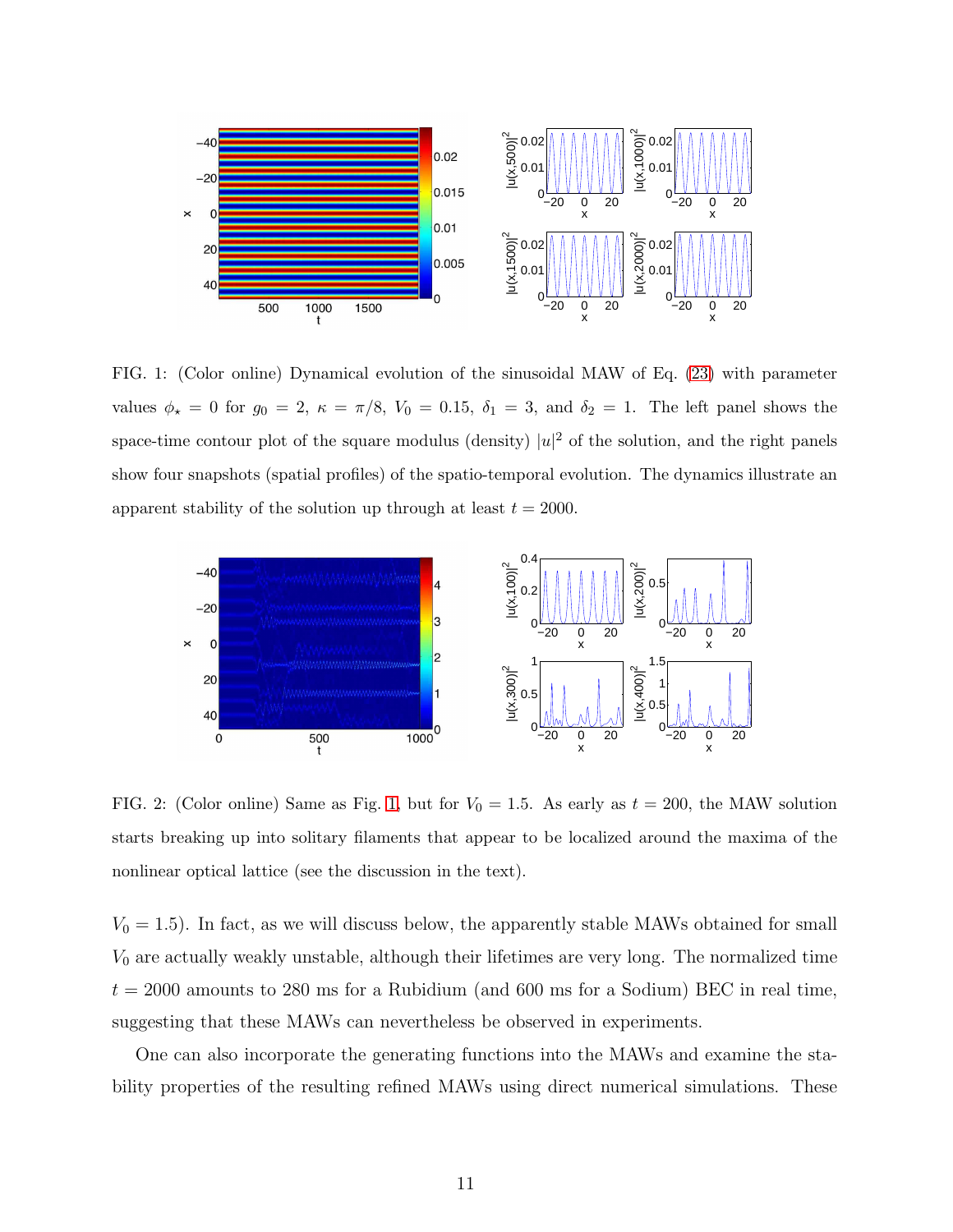

<span id="page-10-0"></span>FIG. 1: (Color online) Dynamical evolution of the sinusoidal MAW of Eq. [\(23\)](#page-9-0) with parameter values  $\phi_{\star} = 0$  for  $g_0 = 2$ ,  $\kappa = \pi/8$ ,  $V_0 = 0.15$ ,  $\delta_1 = 3$ , and  $\delta_2 = 1$ . The left panel shows the space-time contour plot of the square modulus (density)  $|u|^2$  of the solution, and the right panels show four snapshots (spatial profiles) of the spatio-temporal evolution. The dynamics illustrate an apparent stability of the solution up through at least  $t = 2000$ .



<span id="page-10-1"></span>FIG. 2: (Color online) Same as Fig. [1,](#page-10-0) but for  $V_0 = 1.5$ . As early as  $t = 200$ , the MAW solution starts breaking up into solitary filaments that appear to be localized around the maxima of the nonlinear optical lattice (see the discussion in the text).

 $V_0 = 1.5$ ). In fact, as we will discuss below, the apparently stable MAWs obtained for small  $V_0$  are actually weakly unstable, although their lifetimes are very long. The normalized time  $t = 2000$  amounts to 280 ms for a Rubidium (and 600 ms for a Sodium) BEC in real time, suggesting that these MAWs can nevertheless be observed in experiments.

One can also incorporate the generating functions into the MAWs and examine the stability properties of the resulting refined MAWs using direct numerical simulations. These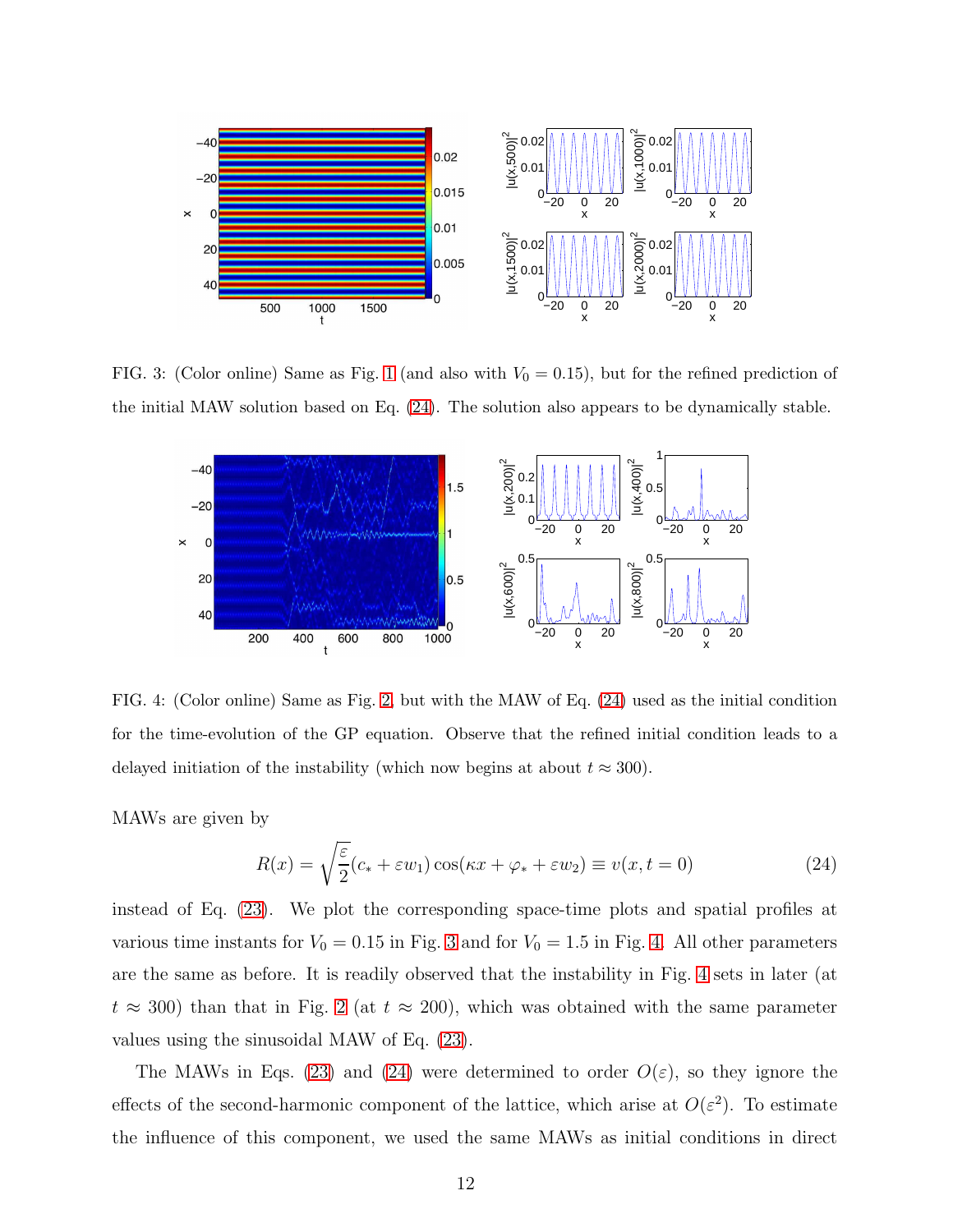

FIG. 3: (Color online) Same as Fig. [1](#page-10-0) (and also with  $V_0 = 0.15$ ), but for the refined prediction of the initial MAW solution based on Eq. [\(24\)](#page-11-0). The solution also appears to be dynamically stable.

<span id="page-11-1"></span>

<span id="page-11-2"></span>FIG. 4: (Color online) Same as Fig. [2,](#page-10-1) but with the MAW of Eq. [\(24\)](#page-11-0) used as the initial condition for the time-evolution of the GP equation. Observe that the refined initial condition leads to a delayed initiation of the instability (which now begins at about  $t \approx 300$ ).

MAWs are given by

<span id="page-11-0"></span>
$$
R(x) = \sqrt{\frac{\varepsilon}{2}} (c_* + \varepsilon w_1) \cos(\kappa x + \varphi_* + \varepsilon w_2) \equiv v(x, t = 0)
$$
 (24)

instead of Eq. [\(23\)](#page-9-0). We plot the corresponding space-time plots and spatial profiles at various time instants for  $V_0 = 0.15$  in Fig. [3](#page-11-1) and for  $V_0 = 1.5$  in Fig. [4.](#page-11-2) All other parameters are the same as before. It is readily observed that the instability in Fig. [4](#page-11-2) sets in later (at  $t \approx 300$ ) than that in Fig. [2](#page-10-1) (at  $t \approx 200$ ), which was obtained with the same parameter values using the sinusoidal MAW of Eq. [\(23\)](#page-9-0).

The MAWs in Eqs. [\(23\)](#page-9-0) and [\(24\)](#page-11-0) were determined to order  $O(\varepsilon)$ , so they ignore the effects of the second-harmonic component of the lattice, which arise at  $O(\varepsilon^2)$ . To estimate the influence of this component, we used the same MAWs as initial conditions in direct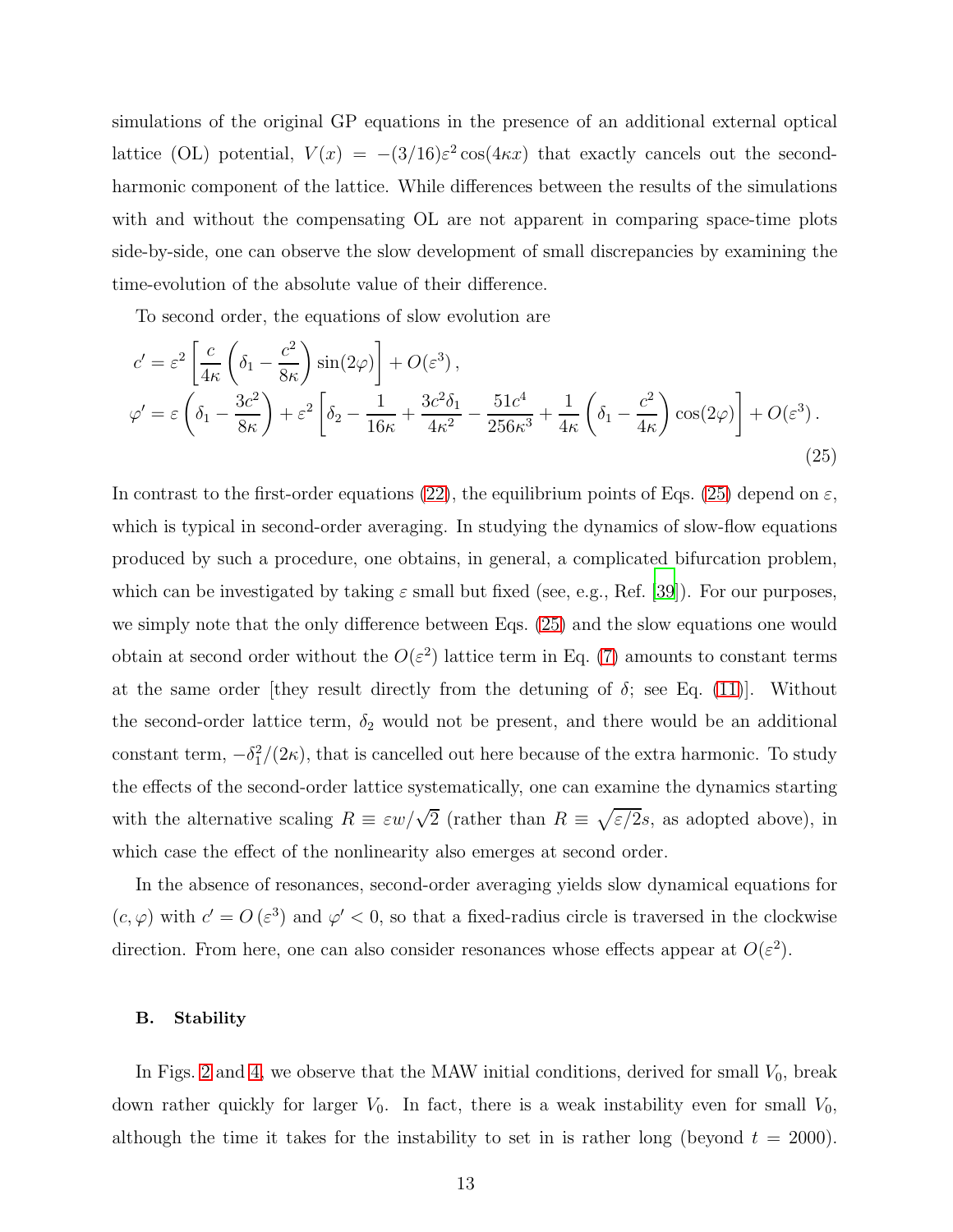simulations of the original GP equations in the presence of an additional external optical lattice (OL) potential,  $V(x) = -(3/16)\varepsilon^2 \cos(4\kappa x)$  that exactly cancels out the secondharmonic component of the lattice. While differences between the results of the simulations with and without the compensating OL are not apparent in comparing space-time plots side-by-side, one can observe the slow development of small discrepancies by examining the time-evolution of the absolute value of their difference.

To second order, the equations of slow evolution are

<span id="page-12-0"></span>
$$
c' = \varepsilon^2 \left[ \frac{c}{4\kappa} \left( \delta_1 - \frac{c^2}{8\kappa} \right) \sin(2\varphi) \right] + O(\varepsilon^3),
$$
  

$$
\varphi' = \varepsilon \left( \delta_1 - \frac{3c^2}{8\kappa} \right) + \varepsilon^2 \left[ \delta_2 - \frac{1}{16\kappa} + \frac{3c^2 \delta_1}{4\kappa^2} - \frac{51c^4}{256\kappa^3} + \frac{1}{4\kappa} \left( \delta_1 - \frac{c^2}{4\kappa} \right) \cos(2\varphi) \right] + O(\varepsilon^3).
$$
\n(25)

In contrast to the first-order equations [\(22\)](#page-9-1), the equilibrium points of Eqs. [\(25\)](#page-12-0) depend on  $\varepsilon$ , which is typical in second-order averaging. In studying the dynamics of slow-flow equations produced by such a procedure, one obtains, in general, a complicated bifurcation problem, which can be investigated by taking  $\varepsilon$  small but fixed (see, e.g., Ref. [\[39\]](#page-24-8)). For our purposes, we simply note that the only difference between Eqs. [\(25\)](#page-12-0) and the slow equations one would obtain at second order without the  $O(\varepsilon^2)$  lattice term in Eq. [\(7\)](#page-6-1) amounts to constant terms at the same order [they result directly from the detuning of  $\delta$ ; see Eq. [\(11\)](#page-7-4)]. Without the second-order lattice term,  $\delta_2$  would not be present, and there would be an additional constant term,  $-\delta_1^2/(2\kappa)$ , that is cancelled out here because of the extra harmonic. To study the effects of the second-order lattice systematically, one can examine the dynamics starting with the alternative scaling  $R \equiv \varepsilon w/\sqrt{2}$  (rather than  $R \equiv \sqrt{\varepsilon/2} s$ , as adopted above), in which case the effect of the nonlinearity also emerges at second order.

In the absence of resonances, second-order averaging yields slow dynamical equations for  $(c, \varphi)$  with  $c' = O(\varepsilon^3)$  and  $\varphi' < 0$ , so that a fixed-radius circle is traversed in the clockwise direction. From here, one can also consider resonances whose effects appear at  $O(\varepsilon^2)$ .

#### B. Stability

In Figs. [2](#page-10-1) and [4,](#page-11-2) we observe that the MAW initial conditions, derived for small  $V_0$ , break down rather quickly for larger  $V_0$ . In fact, there is a weak instability even for small  $V_0$ , although the time it takes for the instability to set in is rather long (beyond  $t = 2000$ ).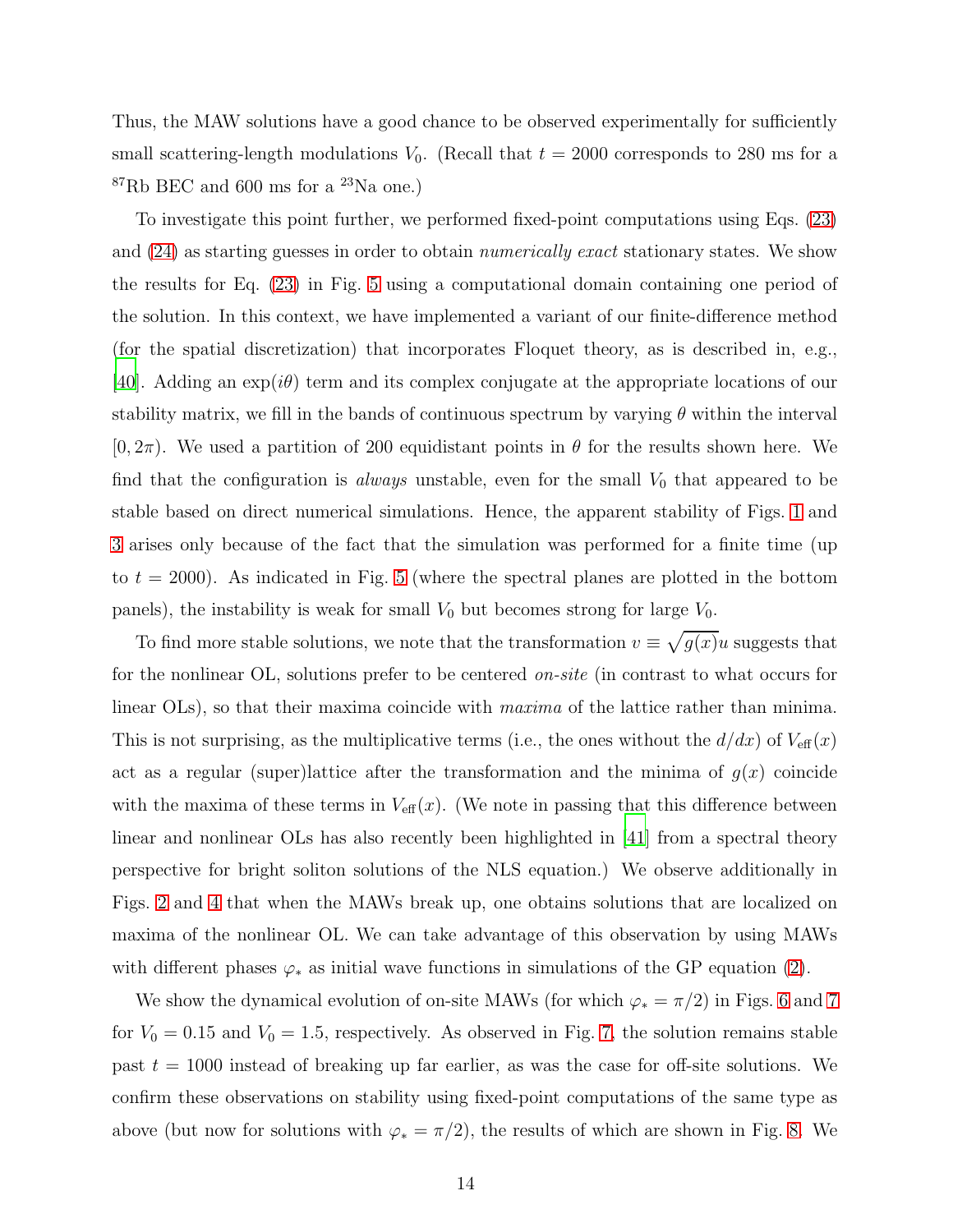Thus, the MAW solutions have a good chance to be observed experimentally for sufficiently small scattering-length modulations  $V_0$ . (Recall that  $t = 2000$  corresponds to 280 ms for a  ${}^{87}$ Rb BEC and 600 ms for a  ${}^{23}$ Na one.)

To investigate this point further, we performed fixed-point computations using Eqs. [\(23\)](#page-9-0) and [\(24\)](#page-11-0) as starting guesses in order to obtain numerically exact stationary states. We show the results for Eq. [\(23\)](#page-9-0) in Fig. [5](#page-14-0) using a computational domain containing one period of the solution. In this context, we have implemented a variant of our finite-difference method (for the spatial discretization) that incorporates Floquet theory, as is described in, e.g., [\[40\]](#page-24-9). Adding an  $\exp(i\theta)$  term and its complex conjugate at the appropriate locations of our stability matrix, we fill in the bands of continuous spectrum by varying  $\theta$  within the interval  $(0, 2\pi)$ . We used a partition of 200 equidistant points in  $\theta$  for the results shown here. We find that the configuration is *always* unstable, even for the small  $V_0$  that appeared to be stable based on direct numerical simulations. Hence, the apparent stability of Figs. [1](#page-10-0) and [3](#page-11-1) arises only because of the fact that the simulation was performed for a finite time (up to  $t = 2000$ . As indicated in Fig. [5](#page-14-0) (where the spectral planes are plotted in the bottom panels), the instability is weak for small  $V_0$  but becomes strong for large  $V_0$ .

To find more stable solutions, we note that the transformation  $v \equiv \sqrt{g(x)}u$  suggests that for the nonlinear OL, solutions prefer to be centered on-site (in contrast to what occurs for linear OLs), so that their maxima coincide with maxima of the lattice rather than minima. This is not surprising, as the multiplicative terms (i.e., the ones without the  $d/dx$ ) of  $V_{\text{eff}}(x)$ act as a regular (super)lattice after the transformation and the minima of  $g(x)$  coincide with the maxima of these terms in  $V_{\text{eff}}(x)$ . (We note in passing that this difference between linear and nonlinear OLs has also recently been highlighted in [\[41\]](#page-24-10) from a spectral theory perspective for bright soliton solutions of the NLS equation.) We observe additionally in Figs. [2](#page-10-1) and [4](#page-11-2) that when the MAWs break up, one obtains solutions that are localized on maxima of the nonlinear OL. We can take advantage of this observation by using MAWs with different phases  $\varphi_*$  as initial wave functions in simulations of the GP equation [\(2\)](#page-4-0).

We show the dynamical evolution of on-site MAWs (for which  $\varphi_* = \pi/2$ ) in Figs. [6](#page-15-0) and [7](#page-16-0) for  $V_0 = 0.15$  and  $V_0 = 1.5$ , respectively. As observed in Fig. [7,](#page-16-0) the solution remains stable past  $t = 1000$  instead of breaking up far earlier, as was the case for off-site solutions. We confirm these observations on stability using fixed-point computations of the same type as above (but now for solutions with  $\varphi_* = \pi/2$ ), the results of which are shown in Fig. [8.](#page-17-0) We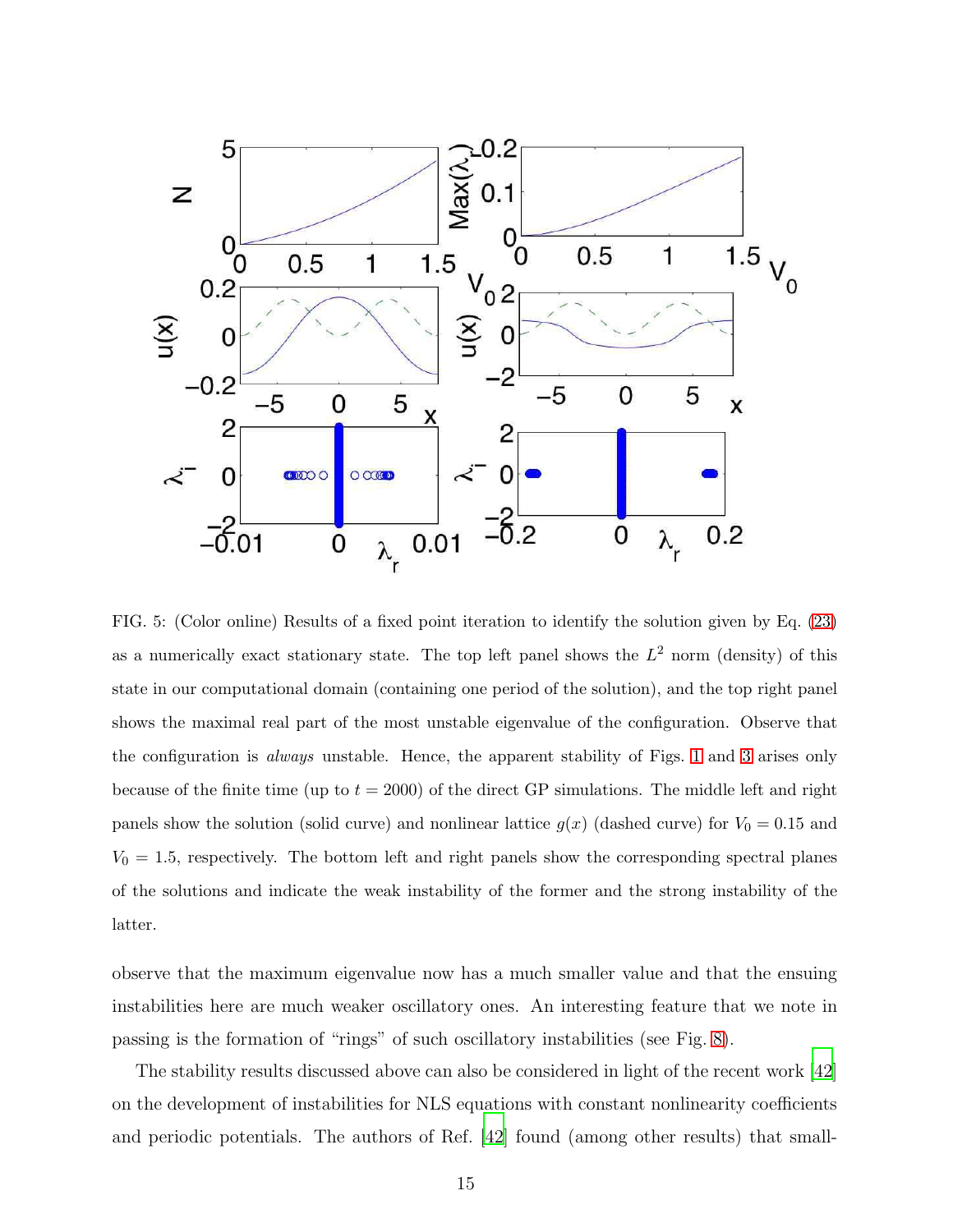

<span id="page-14-0"></span>FIG. 5: (Color online) Results of a fixed point iteration to identify the solution given by Eq. [\(23\)](#page-9-0) as a numerically exact stationary state. The top left panel shows the  $L^2$  norm (density) of this state in our computational domain (containing one period of the solution), and the top right panel shows the maximal real part of the most unstable eigenvalue of the configuration. Observe that the configuration is always unstable. Hence, the apparent stability of Figs. [1](#page-10-0) and [3](#page-11-1) arises only because of the finite time (up to  $t = 2000$ ) of the direct GP simulations. The middle left and right panels show the solution (solid curve) and nonlinear lattice  $g(x)$  (dashed curve) for  $V_0 = 0.15$  and  $V_0 = 1.5$ , respectively. The bottom left and right panels show the corresponding spectral planes of the solutions and indicate the weak instability of the former and the strong instability of the latter.

observe that the maximum eigenvalue now has a much smaller value and that the ensuing instabilities here are much weaker oscillatory ones. An interesting feature that we note in passing is the formation of "rings" of such oscillatory instabilities (see Fig. [8\)](#page-17-0).

The stability results discussed above can also be considered in light of the recent work [\[42\]](#page-24-11) on the development of instabilities for NLS equations with constant nonlinearity coefficients and periodic potentials. The authors of Ref. [\[42\]](#page-24-11) found (among other results) that small-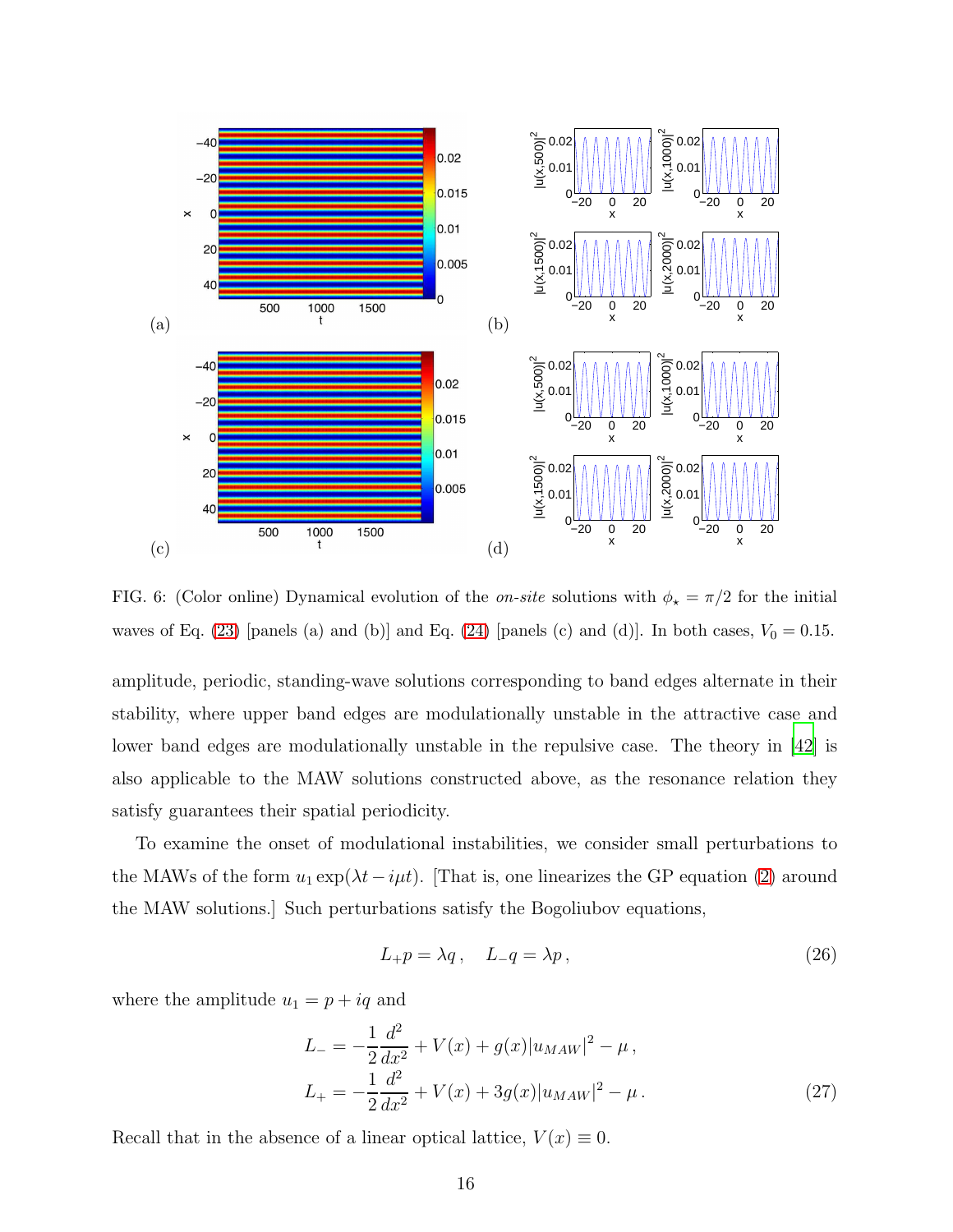

<span id="page-15-0"></span>FIG. 6: (Color online) Dynamical evolution of the *on-site* solutions with  $\phi_{\star} = \pi/2$  for the initial waves of Eq. [\(23\)](#page-9-0) [panels (a) and (b)] and Eq. [\(24\)](#page-11-0) [panels (c) and (d)]. In both cases,  $V_0 = 0.15$ .

amplitude, periodic, standing-wave solutions corresponding to band edges alternate in their stability, where upper band edges are modulationally unstable in the attractive case and lower band edges are modulationally unstable in the repulsive case. The theory in [\[42\]](#page-24-11) is also applicable to the MAW solutions constructed above, as the resonance relation they satisfy guarantees their spatial periodicity.

To examine the onset of modulational instabilities, we consider small perturbations to the MAWs of the form  $u_1 \exp(\lambda t - i\mu t)$ . [That is, one linearizes the GP equation [\(2\)](#page-4-0) around the MAW solutions.] Such perturbations satisfy the Bogoliubov equations,

<span id="page-15-1"></span>
$$
L_{+}p = \lambda q, \quad L_{-}q = \lambda p, \tag{26}
$$

where the amplitude  $u_1 = p + iq$  and

$$
L_{-} = -\frac{1}{2}\frac{d^{2}}{dx^{2}} + V(x) + g(x)|u_{MAW}|^{2} - \mu,
$$
  
\n
$$
L_{+} = -\frac{1}{2}\frac{d^{2}}{dx^{2}} + V(x) + 3g(x)|u_{MAW}|^{2} - \mu.
$$
\n(27)

Recall that in the absence of a linear optical lattice,  $V(x) \equiv 0$ .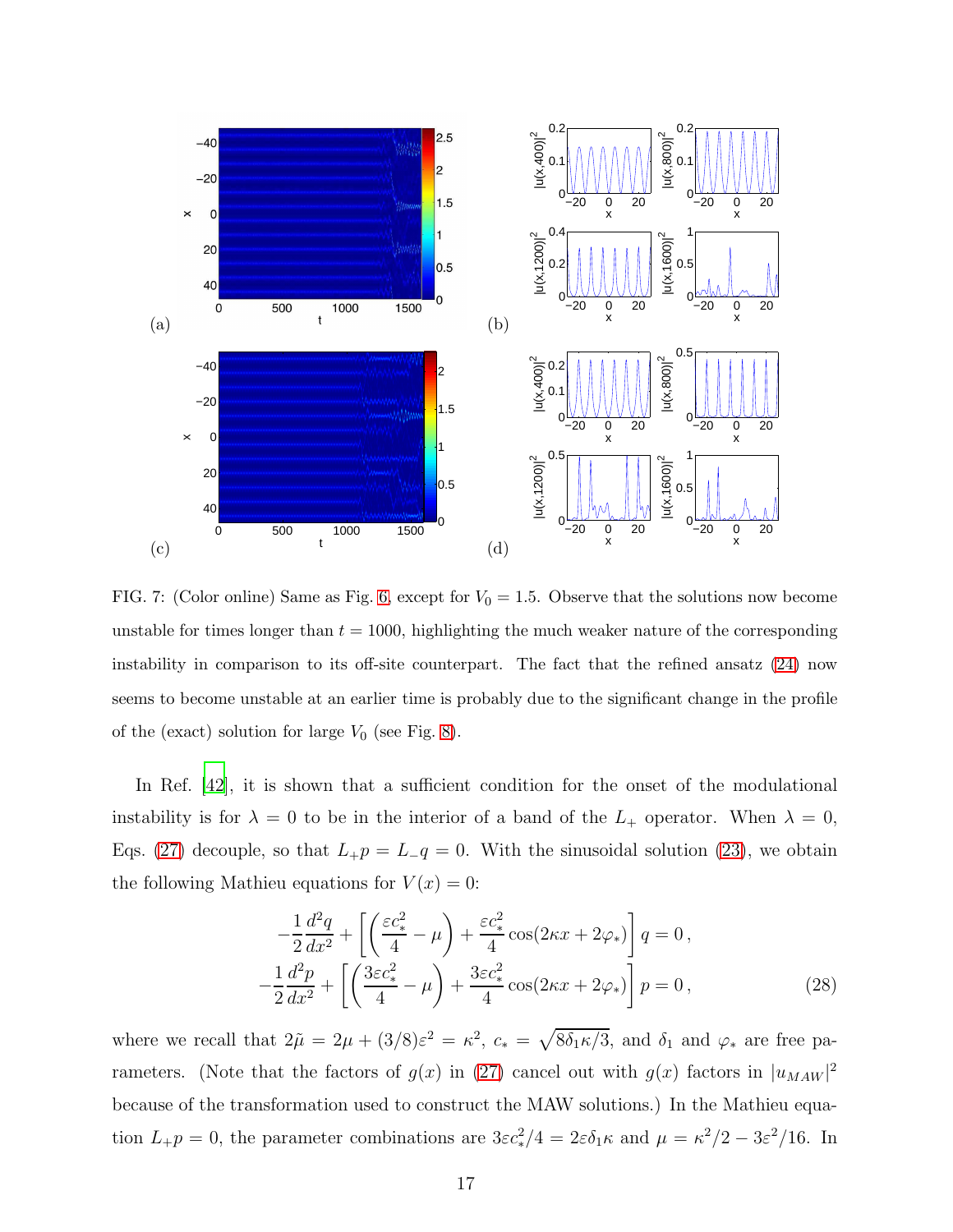

<span id="page-16-0"></span>FIG. 7: (Color online) Same as Fig. [6,](#page-15-0) except for  $V_0 = 1.5$ . Observe that the solutions now become unstable for times longer than  $t = 1000$ , highlighting the much weaker nature of the corresponding instability in comparison to its off-site counterpart. The fact that the refined ansatz [\(24\)](#page-11-0) now seems to become unstable at an earlier time is probably due to the significant change in the profile of the (exact) solution for large  $V_0$  (see Fig. [8\)](#page-17-0).

In Ref. [\[42\]](#page-24-11), it is shown that a sufficient condition for the onset of the modulational instability is for  $\lambda = 0$  to be in the interior of a band of the  $L_+$  operator. When  $\lambda = 0$ , Eqs. [\(27\)](#page-15-1) decouple, so that  $L_{+}p = L_{-}q = 0$ . With the sinusoidal solution [\(23\)](#page-9-0), we obtain the following Mathieu equations for  $V(x) = 0$ :

<span id="page-16-1"></span>
$$
-\frac{1}{2}\frac{d^2q}{dx^2} + \left[\left(\frac{\varepsilon c_*^2}{4} - \mu\right) + \frac{\varepsilon c_*^2}{4}\cos(2\kappa x + 2\varphi_*)\right]q = 0,
$$
  

$$
-\frac{1}{2}\frac{d^2p}{dx^2} + \left[\left(\frac{3\varepsilon c_*^2}{4} - \mu\right) + \frac{3\varepsilon c_*^2}{4}\cos(2\kappa x + 2\varphi_*)\right]p = 0,
$$
 (28)

where we recall that  $2\tilde{\mu} = 2\mu + (3/8)\varepsilon^2 = \kappa^2$ ,  $c_* = \sqrt{8\delta_1\kappa/3}$ , and  $\delta_1$  and  $\varphi_*$  are free parameters. (Note that the factors of  $g(x)$  in [\(27\)](#page-15-1) cancel out with  $g(x)$  factors in  $|u_{MAW}|^2$ because of the transformation used to construct the MAW solutions.) In the Mathieu equation  $L_{+}p = 0$ , the parameter combinations are  $3\varepsilon c_*^2/4 = 2\varepsilon \delta_1 \kappa$  and  $\mu = \kappa^2/2 - 3\varepsilon^2/16$ . In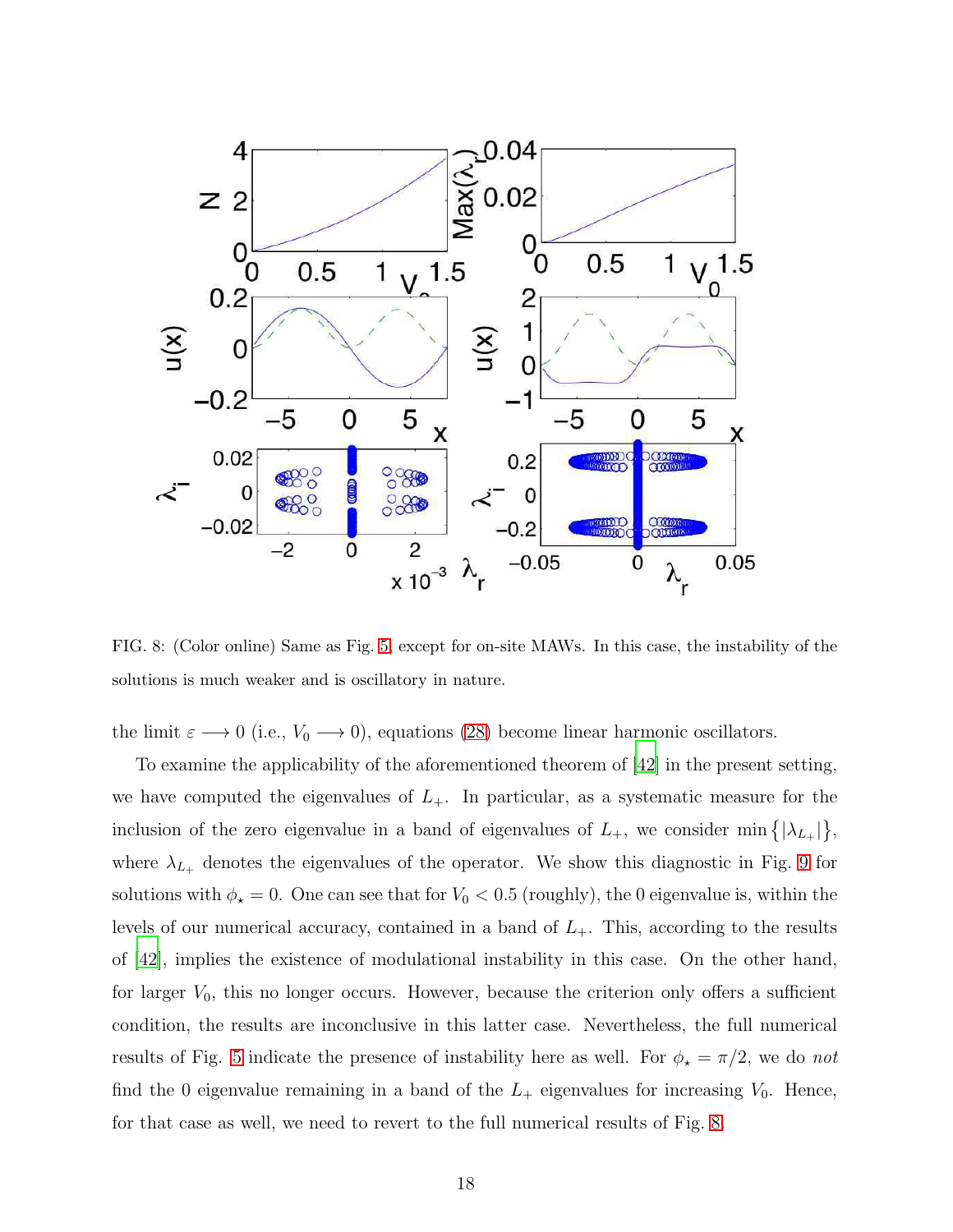

<span id="page-17-0"></span>FIG. 8: (Color online) Same as Fig. [5,](#page-14-0) except for on-site MAWs. In this case, the instability of the solutions is much weaker and is oscillatory in nature.

the limit  $\varepsilon \longrightarrow 0$  (i.e.,  $V_0 \longrightarrow 0$ ), equations [\(28\)](#page-16-1) become linear harmonic oscillators.

To examine the applicability of the aforementioned theorem of [\[42](#page-24-11)] in the present setting, we have computed the eigenvalues of  $L_{+}$ . In particular, as a systematic measure for the inclusion of the zero eigenvalue in a band of eigenvalues of  $L_{+}$ , we consider min  $\{|\lambda_{L_{+}}|\},\$ where  $\lambda_{L_+}$  denotes the eigenvalues of the operator. We show this diagnostic in Fig. [9](#page-19-0) for solutions with  $\phi_{\star} = 0$ . One can see that for  $V_0 < 0.5$  (roughly), the 0 eigenvalue is, within the levels of our numerical accuracy, contained in a band of  $L_{+}$ . This, according to the results of [\[42](#page-24-11)], implies the existence of modulational instability in this case. On the other hand, for larger  $V_0$ , this no longer occurs. However, because the criterion only offers a sufficient condition, the results are inconclusive in this latter case. Nevertheless, the full numerical results of Fig. [5](#page-14-0) indicate the presence of instability here as well. For  $\phi_{\star} = \pi/2$ , we do not find the 0 eigenvalue remaining in a band of the  $L_{+}$  eigenvalues for increasing  $V_{0}$ . Hence, for that case as well, we need to revert to the full numerical results of Fig. [8.](#page-17-0)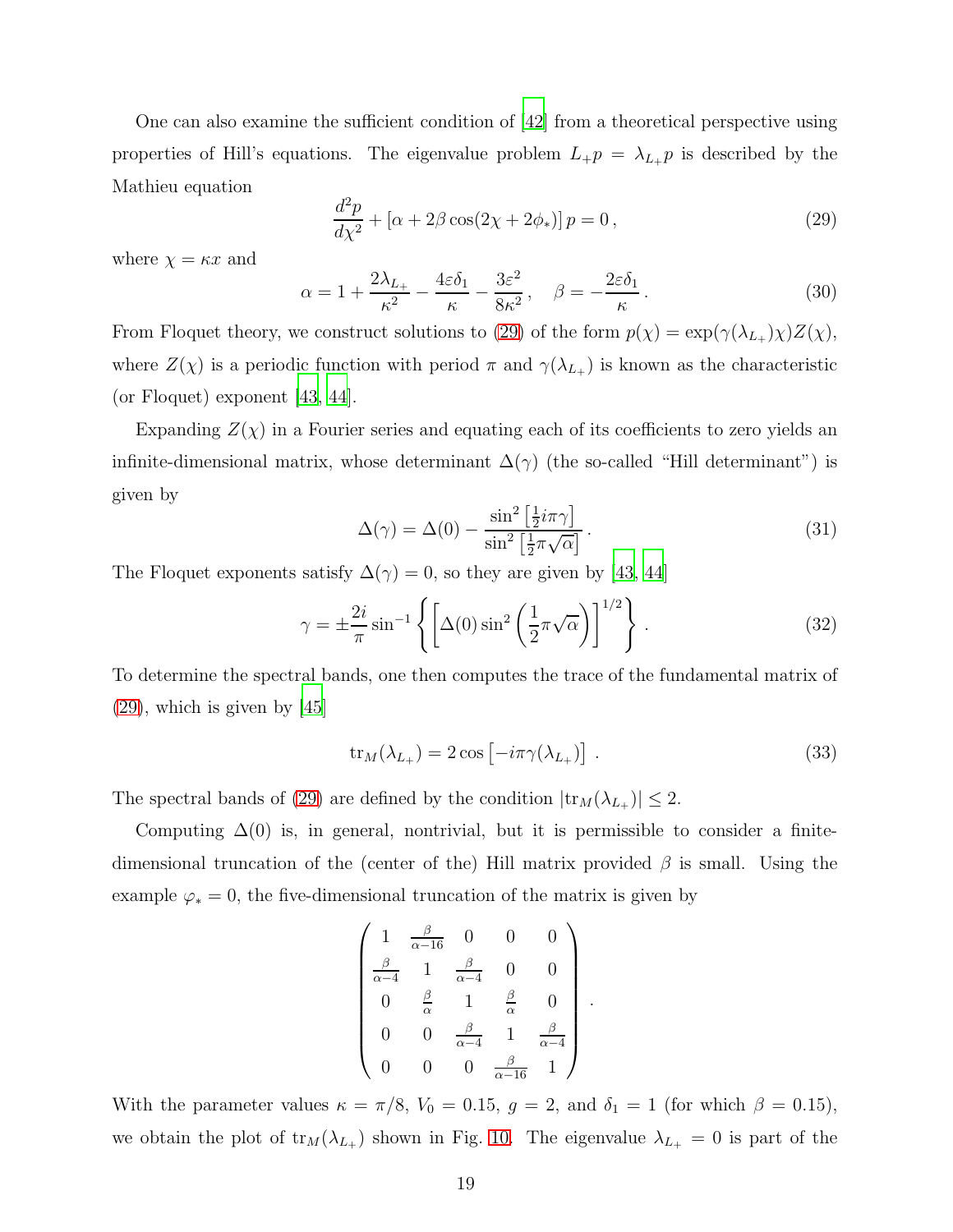One can also examine the sufficient condition of [\[42](#page-24-11)] from a theoretical perspective using properties of Hill's equations. The eigenvalue problem  $L_{+}p = \lambda_{L_{+}}p$  is described by the Mathieu equation

<span id="page-18-0"></span>
$$
\frac{d^2p}{d\chi^2} + \left[\alpha + 2\beta\cos(2\chi + 2\phi_*)\right]p = 0,\tag{29}
$$

where  $\chi = \kappa x$  and

$$
\alpha = 1 + \frac{2\lambda_{L_{+}}}{\kappa^{2}} - \frac{4\varepsilon\delta_{1}}{\kappa} - \frac{3\varepsilon^{2}}{8\kappa^{2}}, \quad \beta = -\frac{2\varepsilon\delta_{1}}{\kappa}.
$$
\n(30)

From Floquet theory, we construct solutions to [\(29\)](#page-18-0) of the form  $p(\chi) = \exp(\gamma(\lambda_{L_+})\chi)Z(\chi)$ , where  $Z(\chi)$  is a periodic function with period  $\pi$  and  $\gamma(\lambda_{L_+})$  is known as the characteristic (or Floquet) exponent [\[43](#page-24-12), [44](#page-24-13)].

Expanding  $Z(\chi)$  in a Fourier series and equating each of its coefficients to zero yields an infinite-dimensional matrix, whose determinant  $\Delta(\gamma)$  (the so-called "Hill determinant") is given by

$$
\Delta(\gamma) = \Delta(0) - \frac{\sin^2\left[\frac{1}{2}i\pi\gamma\right]}{\sin^2\left[\frac{1}{2}\pi\sqrt{\alpha}\right]}.
$$
\n(31)

The Floquet exponents satisfy  $\Delta(\gamma) = 0$ , so they are given by [\[43](#page-24-12), [44](#page-24-13)]

$$
\gamma = \pm \frac{2i}{\pi} \sin^{-1} \left\{ \left[ \Delta(0) \sin^2 \left( \frac{1}{2} \pi \sqrt{\alpha} \right) \right]^{1/2} \right\} . \tag{32}
$$

To determine the spectral bands, one then computes the trace of the fundamental matrix of [\(29\)](#page-18-0), which is given by [\[45\]](#page-24-14)

$$
\text{tr}_M(\lambda_{L_+}) = 2 \cos \left[ -i\pi \gamma(\lambda_{L_+}) \right] \,. \tag{33}
$$

The spectral bands of [\(29\)](#page-18-0) are defined by the condition  $|\text{tr}_M(\lambda_{L_+})| \leq 2$ .

Computing  $\Delta(0)$  is, in general, nontrivial, but it is permissible to consider a finitedimensional truncation of the (center of the) Hill matrix provided  $\beta$  is small. Using the example  $\varphi_* = 0$ , the five-dimensional truncation of the matrix is given by

$$
\begin{pmatrix}\n1 & \frac{\beta}{\alpha - 16} & 0 & 0 & 0 \\
\frac{\beta}{\alpha - 4} & 1 & \frac{\beta}{\alpha - 4} & 0 & 0 \\
0 & \frac{\beta}{\alpha} & 1 & \frac{\beta}{\alpha} & 0 \\
0 & 0 & \frac{\beta}{\alpha - 4} & 1 & \frac{\beta}{\alpha - 4} \\
0 & 0 & 0 & \frac{\beta}{\alpha - 16} & 1\n\end{pmatrix}.
$$

With the parameter values  $\kappa = \pi/8$ ,  $V_0 = 0.15$ ,  $g = 2$ , and  $\delta_1 = 1$  (for which  $\beta = 0.15$ ), we obtain the plot of  $tr_M(\lambda_{L_+})$  shown in Fig. [10.](#page-19-1) The eigenvalue  $\lambda_{L_+} = 0$  is part of the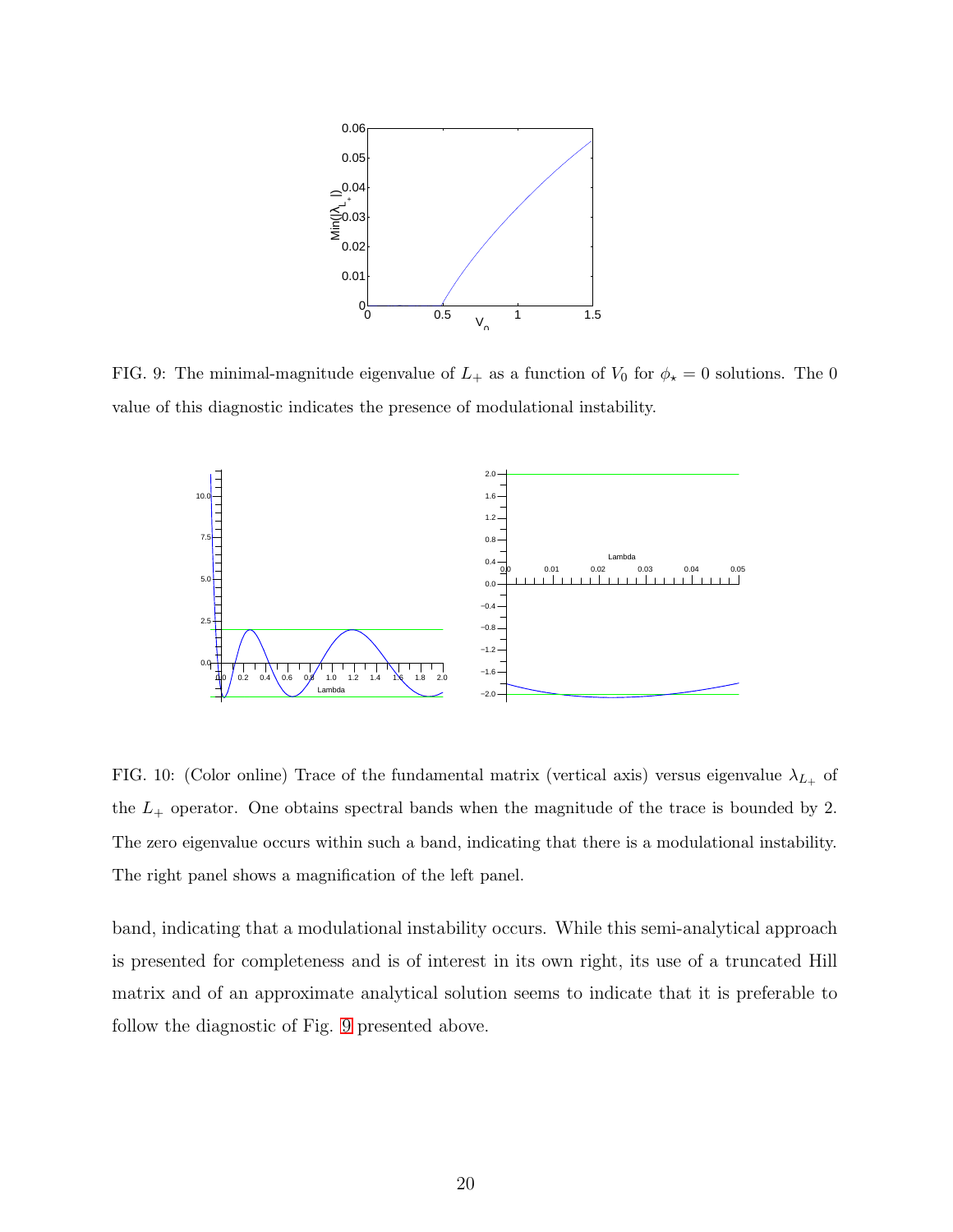

<span id="page-19-0"></span>FIG. 9: The minimal-magnitude eigenvalue of  $L_{+}$  as a function of  $V_{0}$  for  $\phi_{\star} = 0$  solutions. The 0 value of this diagnostic indicates the presence of modulational instability.



<span id="page-19-1"></span>FIG. 10: (Color online) Trace of the fundamental matrix (vertical axis) versus eigenvalue  $\lambda_{L_{+}}$  of the  $L_{+}$  operator. One obtains spectral bands when the magnitude of the trace is bounded by 2. The zero eigenvalue occurs within such a band, indicating that there is a modulational instability. The right panel shows a magnification of the left panel.

band, indicating that a modulational instability occurs. While this semi-analytical approach is presented for completeness and is of interest in its own right, its use of a truncated Hill matrix and of an approximate analytical solution seems to indicate that it is preferable to follow the diagnostic of Fig. [9](#page-19-0) presented above.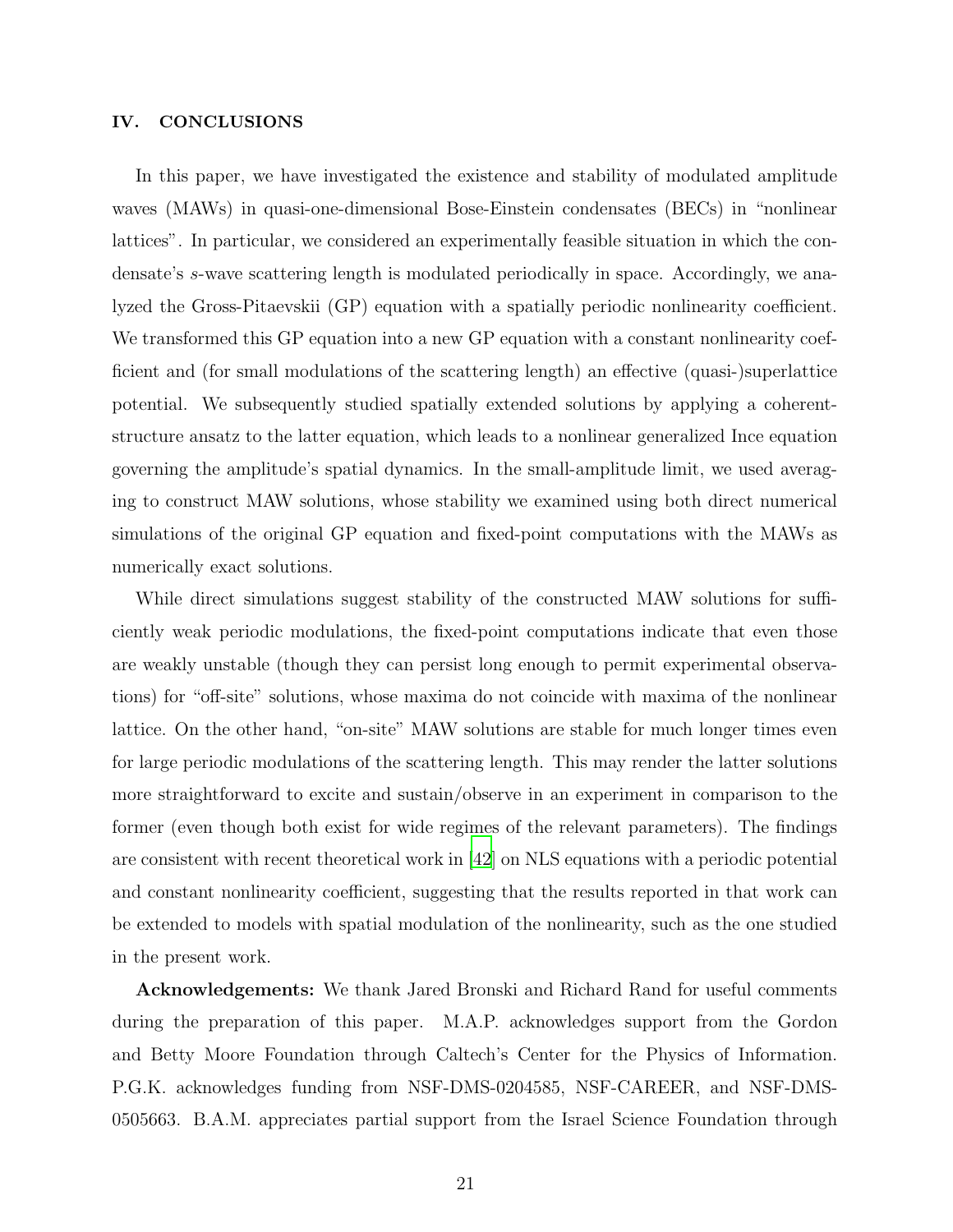## IV. CONCLUSIONS

In this paper, we have investigated the existence and stability of modulated amplitude waves (MAWs) in quasi-one-dimensional Bose-Einstein condensates (BECs) in "nonlinear lattices". In particular, we considered an experimentally feasible situation in which the condensate's s-wave scattering length is modulated periodically in space. Accordingly, we analyzed the Gross-Pitaevskii (GP) equation with a spatially periodic nonlinearity coefficient. We transformed this GP equation into a new GP equation with a constant nonlinearity coefficient and (for small modulations of the scattering length) an effective (quasi-)superlattice potential. We subsequently studied spatially extended solutions by applying a coherentstructure ansatz to the latter equation, which leads to a nonlinear generalized Ince equation governing the amplitude's spatial dynamics. In the small-amplitude limit, we used averaging to construct MAW solutions, whose stability we examined using both direct numerical simulations of the original GP equation and fixed-point computations with the MAWs as numerically exact solutions.

While direct simulations suggest stability of the constructed MAW solutions for sufficiently weak periodic modulations, the fixed-point computations indicate that even those are weakly unstable (though they can persist long enough to permit experimental observations) for "off-site" solutions, whose maxima do not coincide with maxima of the nonlinear lattice. On the other hand, "on-site" MAW solutions are stable for much longer times even for large periodic modulations of the scattering length. This may render the latter solutions more straightforward to excite and sustain/observe in an experiment in comparison to the former (even though both exist for wide regimes of the relevant parameters). The findings are consistent with recent theoretical work in [\[42\]](#page-24-11) on NLS equations with a periodic potential and constant nonlinearity coefficient, suggesting that the results reported in that work can be extended to models with spatial modulation of the nonlinearity, such as the one studied in the present work.

Acknowledgements: We thank Jared Bronski and Richard Rand for useful comments during the preparation of this paper. M.A.P. acknowledges support from the Gordon and Betty Moore Foundation through Caltech's Center for the Physics of Information. P.G.K. acknowledges funding from NSF-DMS-0204585, NSF-CAREER, and NSF-DMS-0505663. B.A.M. appreciates partial support from the Israel Science Foundation through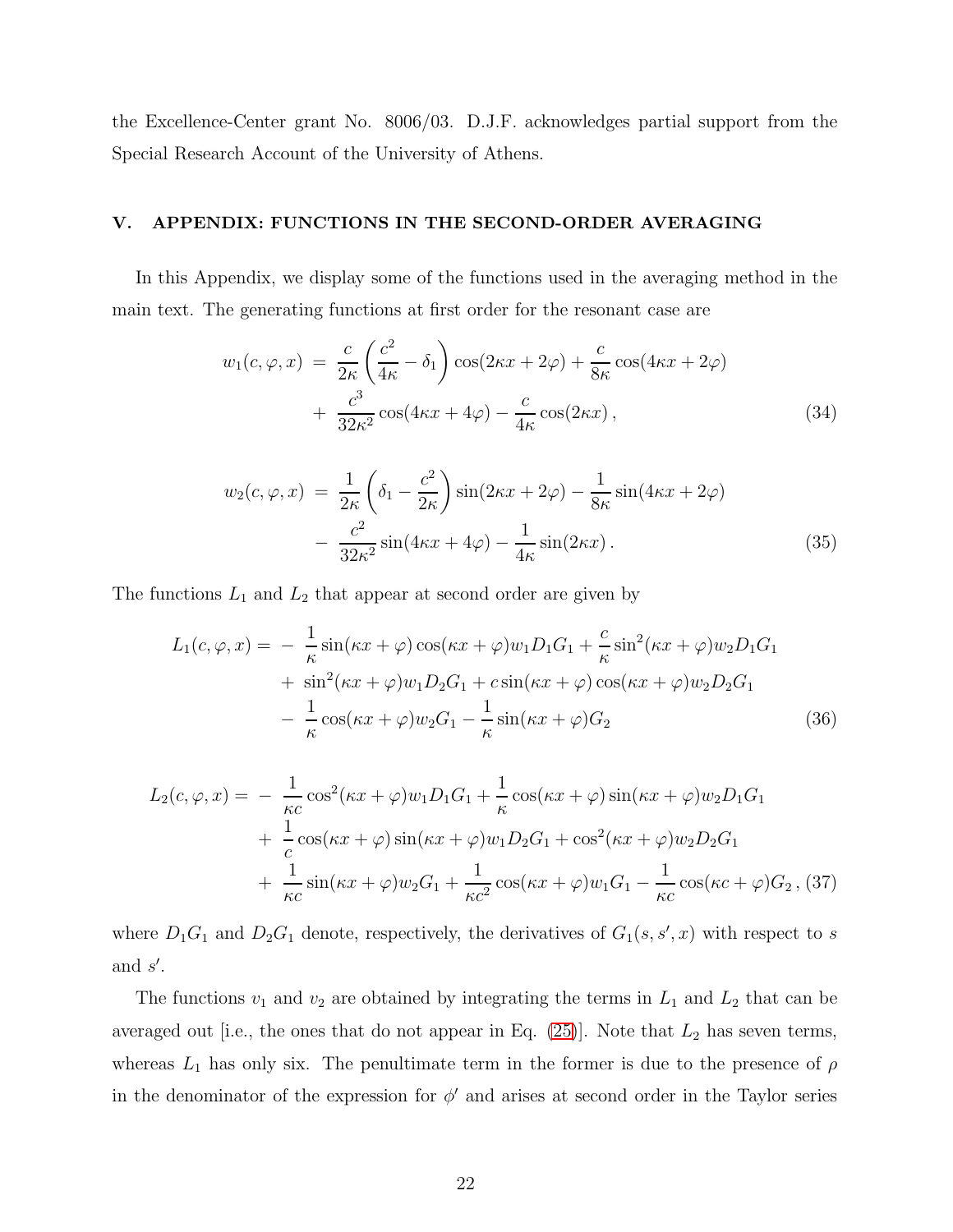the Excellence-Center grant No. 8006/03. D.J.F. acknowledges partial support from the Special Research Account of the University of Athens.

## V. APPENDIX: FUNCTIONS IN THE SECOND-ORDER AVERAGING

In this Appendix, we display some of the functions used in the averaging method in the main text. The generating functions at first order for the resonant case are

$$
w_1(c, \varphi, x) = \frac{c}{2\kappa} \left(\frac{c^2}{4\kappa} - \delta_1\right) \cos(2\kappa x + 2\varphi) + \frac{c}{8\kappa} \cos(4\kappa x + 2\varphi) + \frac{c^3}{32\kappa^2} \cos(4\kappa x + 4\varphi) - \frac{c}{4\kappa} \cos(2\kappa x),
$$
(34)

$$
w_2(c, \varphi, x) = \frac{1}{2\kappa} \left( \delta_1 - \frac{c^2}{2\kappa} \right) \sin(2\kappa x + 2\varphi) - \frac{1}{8\kappa} \sin(4\kappa x + 2\varphi)
$$

$$
- \frac{c^2}{32\kappa^2} \sin(4\kappa x + 4\varphi) - \frac{1}{4\kappa} \sin(2\kappa x). \tag{35}
$$

The functions  $L_1$  and  $L_2$  that appear at second order are given by

$$
L_1(c, \varphi, x) = -\frac{1}{\kappa} \sin(\kappa x + \varphi) \cos(\kappa x + \varphi) w_1 D_1 G_1 + \frac{c}{\kappa} \sin^2(\kappa x + \varphi) w_2 D_1 G_1 + \sin^2(\kappa x + \varphi) w_1 D_2 G_1 + c \sin(\kappa x + \varphi) \cos(\kappa x + \varphi) w_2 D_2 G_1 - \frac{1}{\kappa} \cos(\kappa x + \varphi) w_2 G_1 - \frac{1}{\kappa} \sin(\kappa x + \varphi) G_2
$$
(36)

$$
L_2(c, \varphi, x) = -\frac{1}{\kappa c} \cos^2(\kappa x + \varphi) w_1 D_1 G_1 + \frac{1}{\kappa} \cos(\kappa x + \varphi) \sin(\kappa x + \varphi) w_2 D_1 G_1 + \frac{1}{c} \cos(\kappa x + \varphi) \sin(\kappa x + \varphi) w_1 D_2 G_1 + \cos^2(\kappa x + \varphi) w_2 D_2 G_1 + \frac{1}{\kappa c} \sin(\kappa x + \varphi) w_2 G_1 + \frac{1}{\kappa c^2} \cos(\kappa x + \varphi) w_1 G_1 - \frac{1}{\kappa c} \cos(\kappa c + \varphi) G_2 ,
$$
 (37)

where  $D_1G_1$  and  $D_2G_1$  denote, respectively, the derivatives of  $G_1(s, s', x)$  with respect to s and  $s'$ .

The functions  $v_1$  and  $v_2$  are obtained by integrating the terms in  $L_1$  and  $L_2$  that can be averaged out [i.e., the ones that do not appear in Eq.  $(25)$ ]. Note that  $L_2$  has seven terms, whereas  $L_1$  has only six. The penultimate term in the former is due to the presence of  $\rho$ in the denominator of the expression for  $\phi'$  and arises at second order in the Taylor series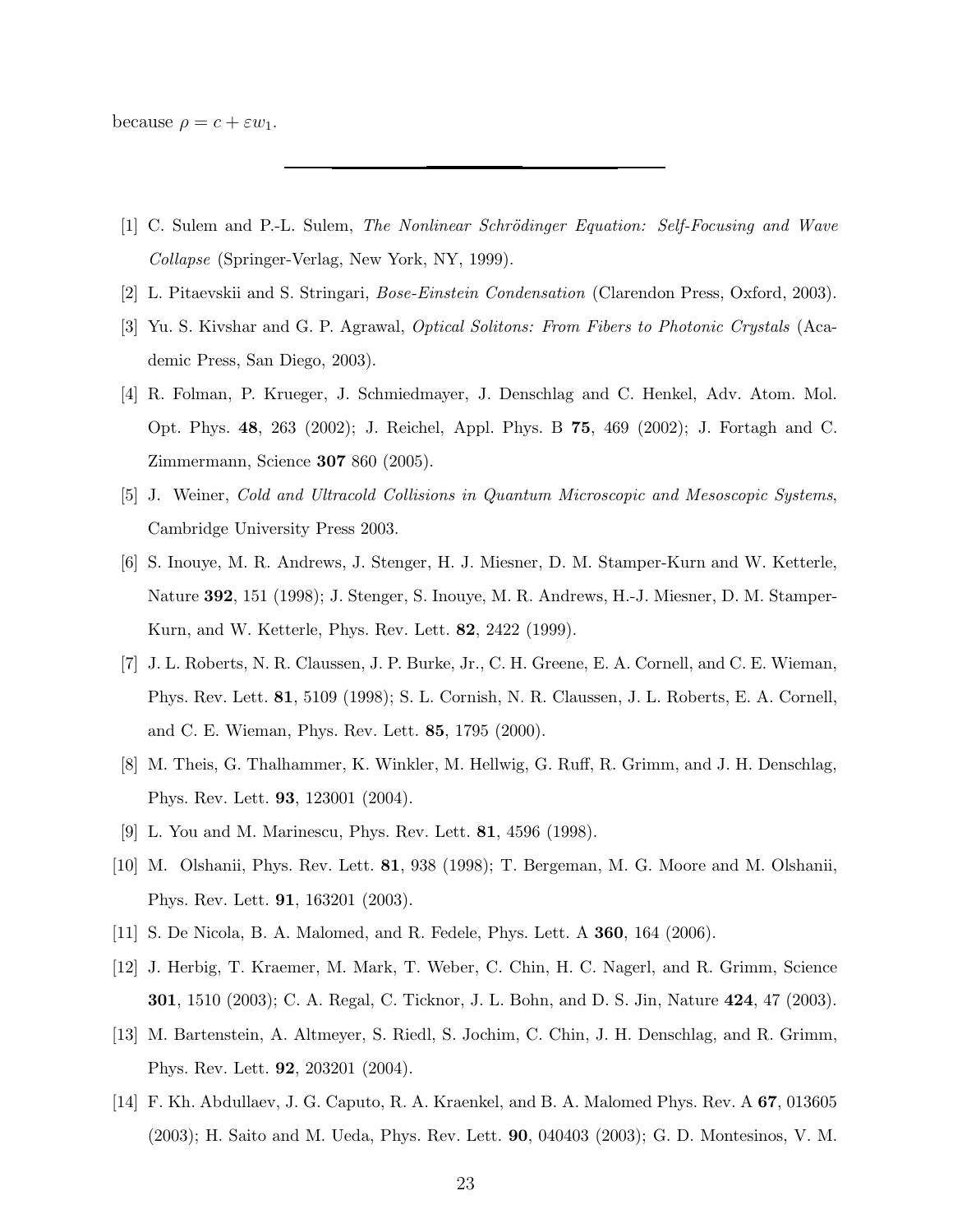because  $\rho = c + \varepsilon w_1$ .

- <span id="page-22-0"></span>[1] C. Sulem and P.-L. Sulem, The Nonlinear Schrödinger Equation: Self-Focusing and Wave Collapse (Springer-Verlag, New York, NY, 1999).
- <span id="page-22-2"></span><span id="page-22-1"></span>[2] L. Pitaevskii and S. Stringari, Bose-Einstein Condensation (Clarendon Press, Oxford, 2003).
- [3] Yu. S. Kivshar and G. P. Agrawal, Optical Solitons: From Fibers to Photonic Crystals (Academic Press, San Diego, 2003).
- <span id="page-22-3"></span>[4] R. Folman, P. Krueger, J. Schmiedmayer, J. Denschlag and C. Henkel, Adv. Atom. Mol. Opt. Phys. 48, 263 (2002); J. Reichel, Appl. Phys. B 75, 469 (2002); J. Fortagh and C. Zimmermann, Science 307 860 (2005).
- <span id="page-22-4"></span>[5] J. Weiner, Cold and Ultracold Collisions in Quantum Microscopic and Mesoscopic Systems, Cambridge University Press 2003.
- <span id="page-22-5"></span>[6] S. Inouye, M. R. Andrews, J. Stenger, H. J. Miesner, D. M. Stamper-Kurn and W. Ketterle, Nature 392, 151 (1998); J. Stenger, S. Inouye, M. R. Andrews, H.-J. Miesner, D. M. Stamper-Kurn, and W. Ketterle, Phys. Rev. Lett. 82, 2422 (1999).
- <span id="page-22-6"></span>[7] J. L. Roberts, N. R. Claussen, J. P. Burke, Jr., C. H. Greene, E. A. Cornell, and C. E. Wieman, Phys. Rev. Lett. 81, 5109 (1998); S. L. Cornish, N. R. Claussen, J. L. Roberts, E. A. Cornell, and C. E. Wieman, Phys. Rev. Lett. 85, 1795 (2000).
- <span id="page-22-7"></span>[8] M. Theis, G. Thalhammer, K. Winkler, M. Hellwig, G. Ruff, R. Grimm, and J. H. Denschlag, Phys. Rev. Lett. 93, 123001 (2004).
- <span id="page-22-8"></span>[9] L. You and M. Marinescu, Phys. Rev. Lett. 81, 4596 (1998).
- <span id="page-22-9"></span>[10] M. Olshanii, Phys. Rev. Lett. 81, 938 (1998); T. Bergeman, M. G. Moore and M. Olshanii, Phys. Rev. Lett. 91, 163201 (2003).
- <span id="page-22-10"></span>[11] S. De Nicola, B. A. Malomed, and R. Fedele, Phys. Lett. A 360, 164 (2006).
- <span id="page-22-11"></span>[12] J. Herbig, T. Kraemer, M. Mark, T. Weber, C. Chin, H. C. Nagerl, and R. Grimm, Science 301, 1510 (2003); C. A. Regal, C. Ticknor, J. L. Bohn, and D. S. Jin, Nature 424, 47 (2003).
- <span id="page-22-12"></span>[13] M. Bartenstein, A. Altmeyer, S. Riedl, S. Jochim, C. Chin, J. H. Denschlag, and R. Grimm, Phys. Rev. Lett. 92, 203201 (2004).
- <span id="page-22-13"></span>[14] F. Kh. Abdullaev, J. G. Caputo, R. A. Kraenkel, and B. A. Malomed Phys. Rev. A 67, 013605 (2003); H. Saito and M. Ueda, Phys. Rev. Lett. 90, 040403 (2003); G. D. Montesinos, V. M.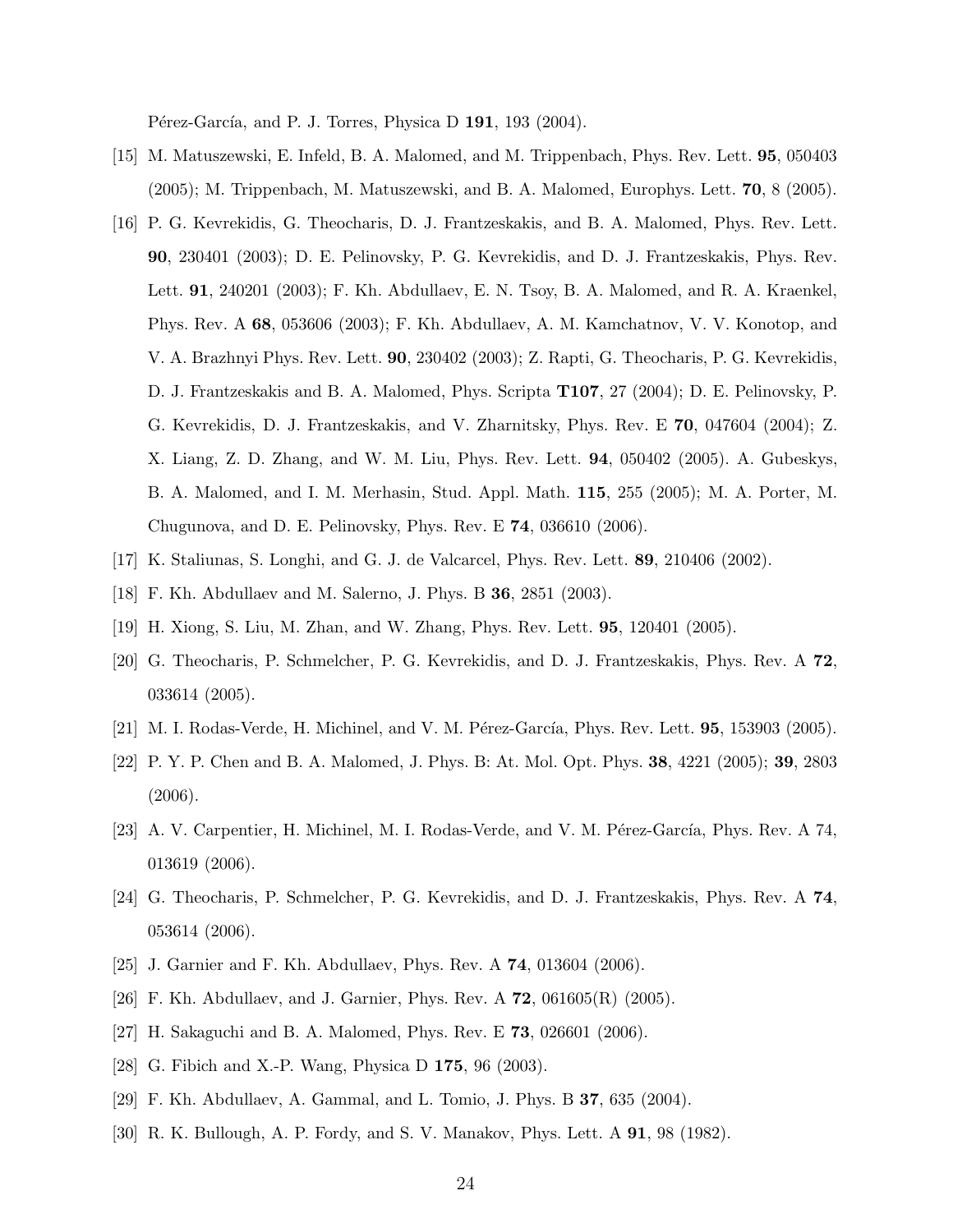Pérez-García, and P. J. Torres, Physica D 191, 193 (2004).

- <span id="page-23-0"></span>[15] M. Matuszewski, E. Infeld, B. A. Malomed, and M. Trippenbach, Phys. Rev. Lett. 95, 050403 (2005); M. Trippenbach, M. Matuszewski, and B. A. Malomed, Europhys. Lett. 70, 8 (2005).
- <span id="page-23-1"></span>[16] P. G. Kevrekidis, G. Theocharis, D. J. Frantzeskakis, and B. A. Malomed, Phys. Rev. Lett. 90, 230401 (2003); D. E. Pelinovsky, P. G. Kevrekidis, and D. J. Frantzeskakis, Phys. Rev. Lett. 91, 240201 (2003); F. Kh. Abdullaev, E. N. Tsoy, B. A. Malomed, and R. A. Kraenkel, Phys. Rev. A 68, 053606 (2003); F. Kh. Abdullaev, A. M. Kamchatnov, V. V. Konotop, and V. A. Brazhnyi Phys. Rev. Lett. 90, 230402 (2003); Z. Rapti, G. Theocharis, P. G. Kevrekidis, D. J. Frantzeskakis and B. A. Malomed, Phys. Scripta T107, 27 (2004); D. E. Pelinovsky, P. G. Kevrekidis, D. J. Frantzeskakis, and V. Zharnitsky, Phys. Rev. E 70, 047604 (2004); Z. X. Liang, Z. D. Zhang, and W. M. Liu, Phys. Rev. Lett. 94, 050402 (2005). A. Gubeskys, B. A. Malomed, and I. M. Merhasin, Stud. Appl. Math. 115, 255 (2005); M. A. Porter, M. Chugunova, and D. E. Pelinovsky, Phys. Rev. E 74, 036610 (2006).
- <span id="page-23-3"></span><span id="page-23-2"></span>[17] K. Staliunas, S. Longhi, and G. J. de Valcarcel, Phys. Rev. Lett. 89, 210406 (2002).
- <span id="page-23-4"></span>[18] F. Kh. Abdullaev and M. Salerno, J. Phys. B 36, 2851 (2003).
- <span id="page-23-5"></span>[19] H. Xiong, S. Liu, M. Zhan, and W. Zhang, Phys. Rev. Lett. 95, 120401 (2005).
- [20] G. Theocharis, P. Schmelcher, P. G. Kevrekidis, and D. J. Frantzeskakis, Phys. Rev. A 72, 033614 (2005).
- <span id="page-23-6"></span> $[21]$  M. I. Rodas-Verde, H. Michinel, and V. M. Pérez-García, Phys. Rev. Lett. **95**, 153903 (2005).
- <span id="page-23-7"></span>[22] P. Y. P. Chen and B. A. Malomed, J. Phys. B: At. Mol. Opt. Phys. 38, 4221 (2005); 39, 2803 (2006).
- <span id="page-23-8"></span>[23] A. V. Carpentier, H. Michinel, M. I. Rodas-Verde, and V. M. Pérez-García, Phys. Rev. A 74, 013619 (2006).
- <span id="page-23-9"></span>[24] G. Theocharis, P. Schmelcher, P. G. Kevrekidis, and D. J. Frantzeskakis, Phys. Rev. A 74, 053614 (2006).
- <span id="page-23-10"></span>[25] J. Garnier and F. Kh. Abdullaev, Phys. Rev. A 74, 013604 (2006).
- <span id="page-23-11"></span>[26] F. Kh. Abdullaev, and J. Garnier, Phys. Rev. A 72, 061605(R) (2005).
- <span id="page-23-12"></span>[27] H. Sakaguchi and B. A. Malomed, Phys. Rev. E 73, 026601 (2006).
- <span id="page-23-13"></span>[28] G. Fibich and X.-P. Wang, Physica D 175, 96 (2003).
- <span id="page-23-14"></span>[29] F. Kh. Abdullaev, A. Gammal, and L. Tomio, J. Phys. B 37, 635 (2004).
- <span id="page-23-15"></span>[30] R. K. Bullough, A. P. Fordy, and S. V. Manakov, Phys. Lett. A 91, 98 (1982).